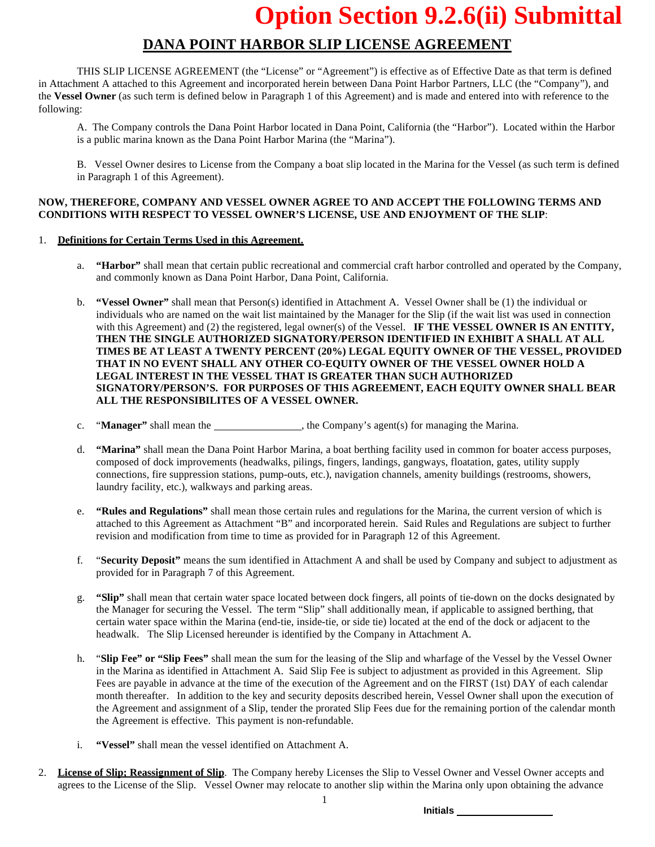### **DANA POINT HARBOR SLIP LICENSE AGREEMENT**

THIS SLIP LICENSE AGREEMENT (the "License" or "Agreement") is effective as of Effective Date as that term is defined in Attachment A attached to this Agreement and incorporated herein between Dana Point Harbor Partners, LLC (the "Company"), and the **Vessel Owner** (as such term is defined below in Paragraph 1 of this Agreement) and is made and entered into with reference to the following:

A. The Company controls the Dana Point Harbor located in Dana Point, California (the "Harbor"). Located within the Harbor is a public marina known as the Dana Point Harbor Marina (the "Marina").

B. Vessel Owner desires to License from the Company a boat slip located in the Marina for the Vessel (as such term is defined in Paragraph 1 of this Agreement).

### **NOW, THEREFORE, COMPANY AND VESSEL OWNER AGREE TO AND ACCEPT THE FOLLOWING TERMS AND CONDITIONS WITH RESPECT TO VESSEL OWNER'S LICENSE, USE AND ENJOYMENT OF THE SLIP**:

### 1. **Definitions for Certain Terms Used in this Agreement.**

- a. **"Harbor"** shall mean that certain public recreational and commercial craft harbor controlled and operated by the Company, and commonly known as Dana Point Harbor, Dana Point, California.
- b. **"Vessel Owner"** shall mean that Person(s) identified in Attachment A. Vessel Owner shall be (1) the individual or individuals who are named on the wait list maintained by the Manager for the Slip (if the wait list was used in connection with this Agreement) and (2) the registered, legal owner(s) of the Vessel. **IF THE VESSEL OWNER IS AN ENTITY, THEN THE SINGLE AUTHORIZED SIGNATORY/PERSON IDENTIFIED IN EXHIBIT A SHALL AT ALL TIMES BE AT LEAST A TWENTY PERCENT (20%) LEGAL EQUITY OWNER OF THE VESSEL, PROVIDED THAT IN NO EVENT SHALL ANY OTHER CO-EQUITY OWNER OF THE VESSEL OWNER HOLD A LEGAL INTEREST IN THE VESSEL THAT IS GREATER THAN SUCH AUTHORIZED SIGNATORY/PERSON'S. FOR PURPOSES OF THIS AGREEMENT, EACH EQUITY OWNER SHALL BEAR ALL THE RESPONSIBILITES OF A VESSEL OWNER.**
- c. "Manager" shall mean the \_\_\_\_\_\_\_\_\_\_\_\_\_\_\_, the Company's agent(s) for managing the Marina.
- d. **"Marina"** shall mean the Dana Point Harbor Marina, a boat berthing facility used in common for boater access purposes, composed of dock improvements (headwalks, pilings, fingers, landings, gangways, floatation, gates, utility supply connections, fire suppression stations, pump-outs, etc.), navigation channels, amenity buildings (restrooms, showers, laundry facility, etc.), walkways and parking areas.
- e. **"Rules and Regulations"** shall mean those certain rules and regulations for the Marina, the current version of which is attached to this Agreement as Attachment "B" and incorporated herein. Said Rules and Regulations are subject to further revision and modification from time to time as provided for in Paragraph 12 of this Agreement.
- f. "**Security Deposit"** means the sum identified in Attachment A and shall be used by Company and subject to adjustment as provided for in Paragraph 7 of this Agreement.
- g. **"Slip"** shall mean that certain water space located between dock fingers, all points of tie-down on the docks designated by the Manager for securing the Vessel. The term "Slip" shall additionally mean, if applicable to assigned berthing, that certain water space within the Marina (end-tie, inside-tie, or side tie) located at the end of the dock or adjacent to the headwalk. The Slip Licensed hereunder is identified by the Company in Attachment A.
- h. "**Slip Fee" or "Slip Fees"** shall mean the sum for the leasing of the Slip and wharfage of the Vessel by the Vessel Owner in the Marina as identified in Attachment A. Said Slip Fee is subject to adjustment as provided in this Agreement. Slip Fees are payable in advance at the time of the execution of the Agreement and on the FIRST (1st) DAY of each calendar month thereafter. In addition to the key and security deposits described herein, Vessel Owner shall upon the execution of the Agreement and assignment of a Slip, tender the prorated Slip Fees due for the remaining portion of the calendar month the Agreement is effective. This payment is non-refundable.
- i. **"Vessel"** shall mean the vessel identified on Attachment A.
- 2. **License of Slip; Reassignment of Slip**. The Company hereby Licenses the Slip to Vessel Owner and Vessel Owner accepts and agrees to the License of the Slip. Vessel Owner may relocate to another slip within the Marina only upon obtaining the advance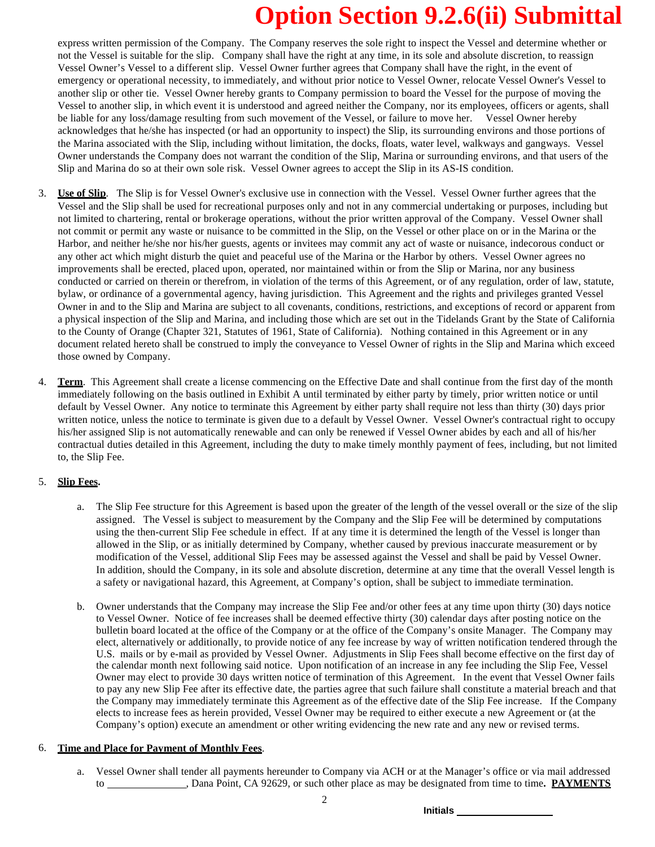express written permission of the Company. The Company reserves the sole right to inspect the Vessel and determine whether or not the Vessel is suitable for the slip. Company shall have the right at any time, in its sole and absolute discretion, to reassign Vessel Owner's Vessel to a different slip. Vessel Owner further agrees that Company shall have the right, in the event of emergency or operational necessity, to immediately, and without prior notice to Vessel Owner, relocate Vessel Owner's Vessel to another slip or other tie. Vessel Owner hereby grants to Company permission to board the Vessel for the purpose of moving the Vessel to another slip, in which event it is understood and agreed neither the Company, nor its employees, officers or agents, shall be liable for any loss/damage resulting from such movement of the Vessel, or failure to move her. Vessel Owner hereby acknowledges that he/she has inspected (or had an opportunity to inspect) the Slip, its surrounding environs and those portions of the Marina associated with the Slip, including without limitation, the docks, floats, water level, walkways and gangways. Vessel Owner understands the Company does not warrant the condition of the Slip, Marina or surrounding environs, and that users of the Slip and Marina do so at their own sole risk. Vessel Owner agrees to accept the Slip in its AS-IS condition.

- 3. **Use of Slip**. The Slip is for Vessel Owner's exclusive use in connection with the Vessel. Vessel Owner further agrees that the Vessel and the Slip shall be used for recreational purposes only and not in any commercial undertaking or purposes, including but not limited to chartering, rental or brokerage operations, without the prior written approval of the Company. Vessel Owner shall not commit or permit any waste or nuisance to be committed in the Slip, on the Vessel or other place on or in the Marina or the Harbor, and neither he/she nor his/her guests, agents or invitees may commit any act of waste or nuisance, indecorous conduct or any other act which might disturb the quiet and peaceful use of the Marina or the Harbor by others. Vessel Owner agrees no improvements shall be erected, placed upon, operated, nor maintained within or from the Slip or Marina, nor any business conducted or carried on therein or therefrom, in violation of the terms of this Agreement, or of any regulation, order of law, statute, bylaw, or ordinance of a governmental agency, having jurisdiction. This Agreement and the rights and privileges granted Vessel Owner in and to the Slip and Marina are subject to all covenants, conditions, restrictions, and exceptions of record or apparent from a physical inspection of the Slip and Marina, and including those which are set out in the Tidelands Grant by the State of California to the County of Orange (Chapter 321, Statutes of 1961, State of California). Nothing contained in this Agreement or in any document related hereto shall be construed to imply the conveyance to Vessel Owner of rights in the Slip and Marina which exceed those owned by Company.
- 4. **Term**. This Agreement shall create a license commencing on the Effective Date and shall continue from the first day of the month immediately following on the basis outlined in Exhibit A until terminated by either party by timely, prior written notice or until default by Vessel Owner. Any notice to terminate this Agreement by either party shall require not less than thirty (30) days prior written notice, unless the notice to terminate is given due to a default by Vessel Owner. Vessel Owner's contractual right to occupy his/her assigned Slip is not automatically renewable and can only be renewed if Vessel Owner abides by each and all of his/her contractual duties detailed in this Agreement, including the duty to make timely monthly payment of fees, including, but not limited to, the Slip Fee.

### 5. **Slip Fees.**

- a. The Slip Fee structure for this Agreement is based upon the greater of the length of the vessel overall or the size of the slip assigned. The Vessel is subject to measurement by the Company and the Slip Fee will be determined by computations using the then-current Slip Fee schedule in effect. If at any time it is determined the length of the Vessel is longer than allowed in the Slip, or as initially determined by Company, whether caused by previous inaccurate measurement or by modification of the Vessel, additional Slip Fees may be assessed against the Vessel and shall be paid by Vessel Owner. In addition, should the Company, in its sole and absolute discretion, determine at any time that the overall Vessel length is a safety or navigational hazard, this Agreement, at Company's option, shall be subject to immediate termination.
- b. Owner understands that the Company may increase the Slip Fee and/or other fees at any time upon thirty (30) days notice to Vessel Owner. Notice of fee increases shall be deemed effective thirty (30) calendar days after posting notice on the bulletin board located at the office of the Company or at the office of the Company's onsite Manager. The Company may elect, alternatively or additionally, to provide notice of any fee increase by way of written notification tendered through the U.S. mails or by e-mail as provided by Vessel Owner. Adjustments in Slip Fees shall become effective on the first day of the calendar month next following said notice. Upon notification of an increase in any fee including the Slip Fee, Vessel Owner may elect to provide 30 days written notice of termination of this Agreement. In the event that Vessel Owner fails to pay any new Slip Fee after its effective date, the parties agree that such failure shall constitute a material breach and that the Company may immediately terminate this Agreement as of the effective date of the Slip Fee increase. If the Company elects to increase fees as herein provided, Vessel Owner may be required to either execute a new Agreement or (at the Company's option) execute an amendment or other writing evidencing the new rate and any new or revised terms.

### 6. **Time and Place for Payment of Monthly Fees**.

a. Vessel Owner shall tender all payments hereunder to Company via ACH or at the Manager's office or via mail addressed to , Dana Point, CA 92629, or such other place as may be designated from time to time**. PAYMENTS**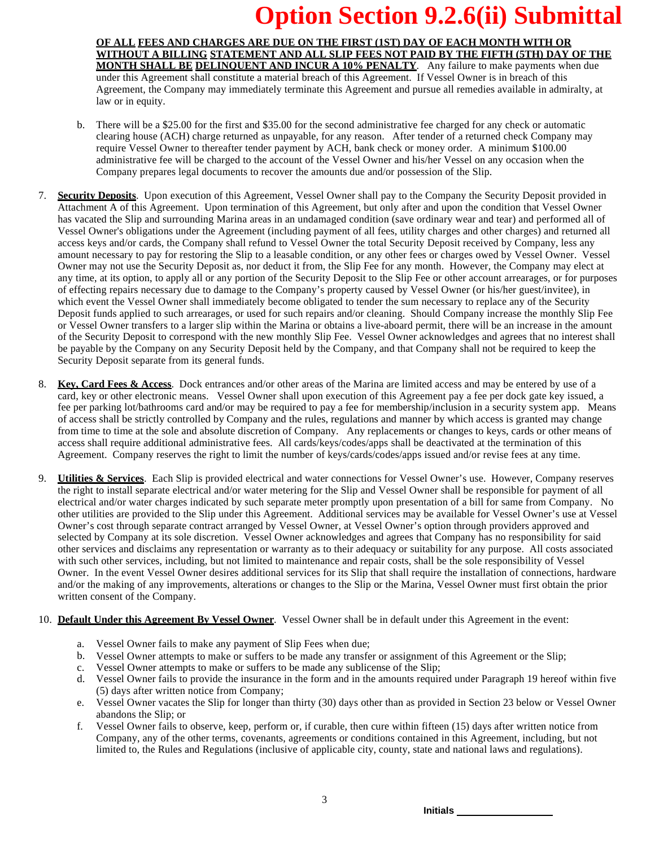### **OF ALL FEES AND CHARGES ARE DUE ON THE FIRST (1ST) DAY OF EACH MONTH WITH OR WITHOUT A BILLING STATEMENT AND ALL SLIP FEES NOT PAID BY THE FIFTH (5TH) DAY OF THE MONTH SHALL BE DELINQUENT AND INCUR A 10% PENALTY**. Any failure to make payments when due under this Agreement shall constitute a material breach of this Agreement. If Vessel Owner is in breach of this

Agreement, the Company may immediately terminate this Agreement and pursue all remedies available in admiralty, at law or in equity.

- b. There will be a \$25.00 for the first and \$35.00 for the second administrative fee charged for any check or automatic clearing house (ACH) charge returned as unpayable, for any reason. After tender of a returned check Company may require Vessel Owner to thereafter tender payment by ACH, bank check or money order. A minimum \$100.00 administrative fee will be charged to the account of the Vessel Owner and his/her Vessel on any occasion when the Company prepares legal documents to recover the amounts due and/or possession of the Slip.
- 7. **Security Deposits**. Upon execution of this Agreement, Vessel Owner shall pay to the Company the Security Deposit provided in Attachment A of this Agreement. Upon termination of this Agreement, but only after and upon the condition that Vessel Owner has vacated the Slip and surrounding Marina areas in an undamaged condition (save ordinary wear and tear) and performed all of Vessel Owner's obligations under the Agreement (including payment of all fees, utility charges and other charges) and returned all access keys and/or cards, the Company shall refund to Vessel Owner the total Security Deposit received by Company, less any amount necessary to pay for restoring the Slip to a leasable condition, or any other fees or charges owed by Vessel Owner. Vessel Owner may not use the Security Deposit as, nor deduct it from, the Slip Fee for any month. However, the Company may elect at any time, at its option, to apply all or any portion of the Security Deposit to the Slip Fee or other account arrearages, or for purposes of effecting repairs necessary due to damage to the Company's property caused by Vessel Owner (or his/her guest/invitee), in which event the Vessel Owner shall immediately become obligated to tender the sum necessary to replace any of the Security Deposit funds applied to such arrearages, or used for such repairs and/or cleaning. Should Company increase the monthly Slip Fee or Vessel Owner transfers to a larger slip within the Marina or obtains a live-aboard permit, there will be an increase in the amount of the Security Deposit to correspond with the new monthly Slip Fee. Vessel Owner acknowledges and agrees that no interest shall be payable by the Company on any Security Deposit held by the Company, and that Company shall not be required to keep the Security Deposit separate from its general funds.
- 8. **Key, Card Fees & Access**. Dock entrances and/or other areas of the Marina are limited access and may be entered by use of a card, key or other electronic means. Vessel Owner shall upon execution of this Agreement pay a fee per dock gate key issued, a fee per parking lot/bathrooms card and/or may be required to pay a fee for membership/inclusion in a security system app. Means of access shall be strictly controlled by Company and the rules, regulations and manner by which access is granted may change from time to time at the sole and absolute discretion of Company. Any replacements or changes to keys, cards or other means of access shall require additional administrative fees. All cards/keys/codes/apps shall be deactivated at the termination of this Agreement. Company reserves the right to limit the number of keys/cards/codes/apps issued and/or revise fees at any time.
- 9. **Utilities & Services**. Each Slip is provided electrical and water connections for Vessel Owner's use. However, Company reserves the right to install separate electrical and/or water metering for the Slip and Vessel Owner shall be responsible for payment of all electrical and/or water charges indicated by such separate meter promptly upon presentation of a bill for same from Company. No other utilities are provided to the Slip under this Agreement. Additional services may be available for Vessel Owner's use at Vessel Owner's cost through separate contract arranged by Vessel Owner, at Vessel Owner's option through providers approved and selected by Company at its sole discretion. Vessel Owner acknowledges and agrees that Company has no responsibility for said other services and disclaims any representation or warranty as to their adequacy or suitability for any purpose. All costs associated with such other services, including, but not limited to maintenance and repair costs, shall be the sole responsibility of Vessel Owner. In the event Vessel Owner desires additional services for its Slip that shall require the installation of connections, hardware and/or the making of any improvements, alterations or changes to the Slip or the Marina, Vessel Owner must first obtain the prior written consent of the Company.
- 10. **Default Under this Agreement By Vessel Owner**. Vessel Owner shall be in default under this Agreement in the event:
	- a. Vessel Owner fails to make any payment of Slip Fees when due;
	- b. Vessel Owner attempts to make or suffers to be made any transfer or assignment of this Agreement or the Slip;
	- c. Vessel Owner attempts to make or suffers to be made any sublicense of the Slip;
	- d. Vessel Owner fails to provide the insurance in the form and in the amounts required under Paragraph 19 hereof within five (5) days after written notice from Company;
	- e. Vessel Owner vacates the Slip for longer than thirty (30) days other than as provided in Section 23 below or Vessel Owner abandons the Slip; or
	- f. Vessel Owner fails to observe, keep, perform or, if curable, then cure within fifteen (15) days after written notice from Company, any of the other terms, covenants, agreements or conditions contained in this Agreement, including, but not limited to, the Rules and Regulations (inclusive of applicable city, county, state and national laws and regulations).

3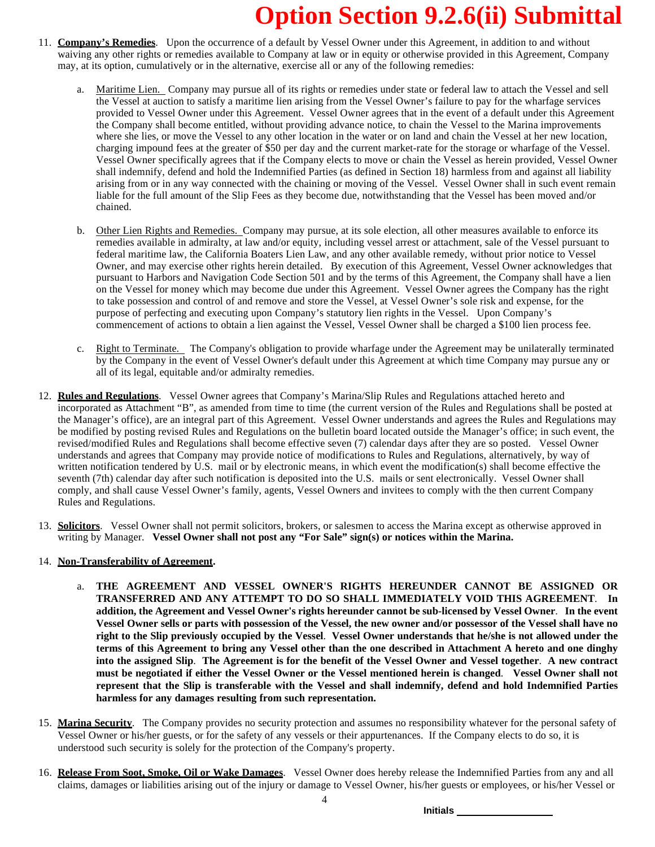- 11. **Company's Remedies**. Upon the occurrence of a default by Vessel Owner under this Agreement, in addition to and without waiving any other rights or remedies available to Company at law or in equity or otherwise provided in this Agreement, Company may, at its option, cumulatively or in the alternative, exercise all or any of the following remedies:
	- Maritime Lien. Company may pursue all of its rights or remedies under state or federal law to attach the Vessel and sell the Vessel at auction to satisfy a maritime lien arising from the Vessel Owner's failure to pay for the wharfage services provided to Vessel Owner under this Agreement. Vessel Owner agrees that in the event of a default under this Agreement the Company shall become entitled, without providing advance notice, to chain the Vessel to the Marina improvements where she lies, or move the Vessel to any other location in the water or on land and chain the Vessel at her new location, charging impound fees at the greater of \$50 per day and the current market-rate for the storage or wharfage of the Vessel. Vessel Owner specifically agrees that if the Company elects to move or chain the Vessel as herein provided, Vessel Owner shall indemnify, defend and hold the Indemnified Parties (as defined in Section 18) harmless from and against all liability arising from or in any way connected with the chaining or moving of the Vessel. Vessel Owner shall in such event remain liable for the full amount of the Slip Fees as they become due, notwithstanding that the Vessel has been moved and/or chained.
	- b. Other Lien Rights and Remedies. Company may pursue, at its sole election, all other measures available to enforce its remedies available in admiralty, at law and/or equity, including vessel arrest or attachment, sale of the Vessel pursuant to federal maritime law, the California Boaters Lien Law, and any other available remedy, without prior notice to Vessel Owner, and may exercise other rights herein detailed. By execution of this Agreement, Vessel Owner acknowledges that pursuant to Harbors and Navigation Code Section 501 and by the terms of this Agreement, the Company shall have a lien on the Vessel for money which may become due under this Agreement. Vessel Owner agrees the Company has the right to take possession and control of and remove and store the Vessel, at Vessel Owner's sole risk and expense, for the purpose of perfecting and executing upon Company's statutory lien rights in the Vessel. Upon Company's commencement of actions to obtain a lien against the Vessel, Vessel Owner shall be charged a \$100 lien process fee.
	- c. Right to Terminate. The Company's obligation to provide wharfage under the Agreement may be unilaterally terminated by the Company in the event of Vessel Owner's default under this Agreement at which time Company may pursue any or all of its legal, equitable and/or admiralty remedies.
- 12. **Rules and Regulations**. Vessel Owner agrees that Company's Marina/Slip Rules and Regulations attached hereto and incorporated as Attachment "B", as amended from time to time (the current version of the Rules and Regulations shall be posted at the Manager's office), are an integral part of this Agreement. Vessel Owner understands and agrees the Rules and Regulations may be modified by posting revised Rules and Regulations on the bulletin board located outside the Manager's office; in such event, the revised/modified Rules and Regulations shall become effective seven (7) calendar days after they are so posted. Vessel Owner understands and agrees that Company may provide notice of modifications to Rules and Regulations, alternatively, by way of written notification tendered by  $\dot{U}$ .S. mail or by electronic means, in which event the modification(s) shall become effective the seventh (7th) calendar day after such notification is deposited into the U.S. mails or sent electronically. Vessel Owner shall comply, and shall cause Vessel Owner's family, agents, Vessel Owners and invitees to comply with the then current Company Rules and Regulations.
- 13. **Solicitors**. Vessel Owner shall not permit solicitors, brokers, or salesmen to access the Marina except as otherwise approved in writing by Manager. **Vessel Owner shall not post any "For Sale" sign(s) or notices within the Marina.**

### 14. **Non-Transferability of Agreement.**

- a. **THE AGREEMENT AND VESSEL OWNER'S RIGHTS HEREUNDER CANNOT BE ASSIGNED OR TRANSFERRED AND ANY ATTEMPT TO DO SO SHALL IMMEDIATELY VOID THIS AGREEMENT**. **In addition, the Agreement and Vessel Owner's rights hereunder cannot be sub-licensed by Vessel Owner**. **In the event** Vessel Owner sells or parts with possession of the Vessel, the new owner and/or possessor of the Vessel shall have no right to the Slip previously occupied by the Vessel. Vessel Owner understands that he/she is not allowed under the terms of this Agreement to bring any Vessel other than the one described in Attachment A hereto and one dinghy into the assigned Slip. The Agreement is for the benefit of the Vessel Owner and Vessel together. A new contract **must be negotiated if either the Vessel Owner or the Vessel mentioned herein is changed**. **Vessel Owner shall not represent that the Slip is transferable with the Vessel and shall indemnify, defend and hold Indemnified Parties harmless for any damages resulting from such representation.**
- 15. **Marina Security**. The Company provides no security protection and assumes no responsibility whatever for the personal safety of Vessel Owner or his/her guests, or for the safety of any vessels or their appurtenances. If the Company elects to do so, it is understood such security is solely for the protection of the Company's property.
- 16. **Release From Soot, Smoke, Oil or Wake Damages**. Vessel Owner does hereby release the Indemnified Parties from any and all claims, damages or liabilities arising out of the injury or damage to Vessel Owner, his/her guests or employees, or his/her Vessel or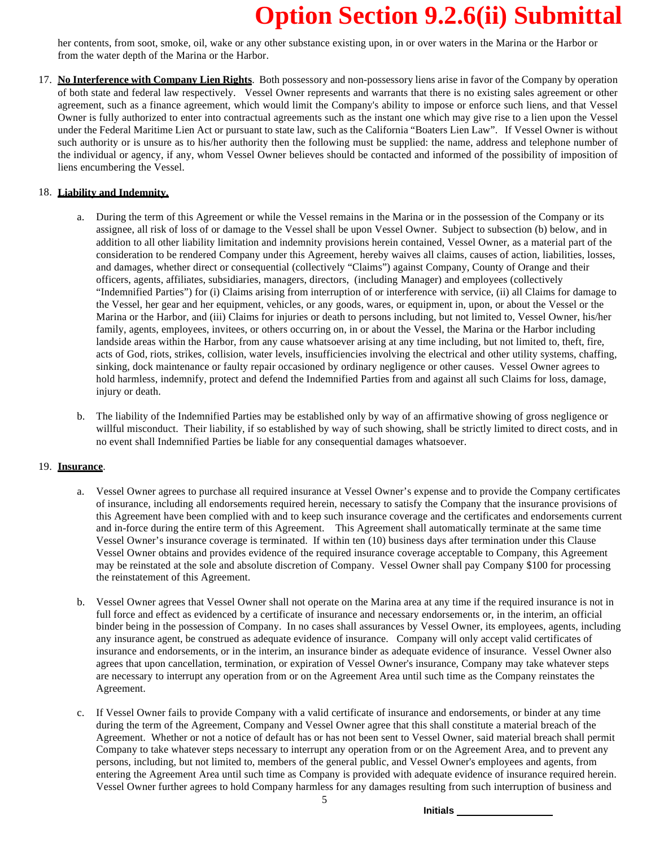her contents, from soot, smoke, oil, wake or any other substance existing upon, in or over waters in the Marina or the Harbor or from the water depth of the Marina or the Harbor.

17. **No Interference with Company Lien Rights**. Both possessory and non-possessory liens arise in favor of the Company by operation of both state and federal law respectively. Vessel Owner represents and warrants that there is no existing sales agreement or other agreement, such as a finance agreement, which would limit the Company's ability to impose or enforce such liens, and that Vessel Owner is fully authorized to enter into contractual agreements such as the instant one which may give rise to a lien upon the Vessel under the Federal Maritime Lien Act or pursuant to state law, such as the California "Boaters Lien Law". If Vessel Owner is without such authority or is unsure as to his/her authority then the following must be supplied: the name, address and telephone number of the individual or agency, if any, whom Vessel Owner believes should be contacted and informed of the possibility of imposition of liens encumbering the Vessel.

### 18. **Liability and Indemnity.**

- a. During the term of this Agreement or while the Vessel remains in the Marina or in the possession of the Company or its assignee, all risk of loss of or damage to the Vessel shall be upon Vessel Owner. Subject to subsection (b) below, and in addition to all other liability limitation and indemnity provisions herein contained, Vessel Owner, as a material part of the consideration to be rendered Company under this Agreement, hereby waives all claims, causes of action, liabilities, losses, and damages, whether direct or consequential (collectively "Claims") against Company, County of Orange and their officers, agents, affiliates, subsidiaries, managers, directors, (including Manager) and employees (collectively "Indemnified Parties") for (i) Claims arising from interruption of or interference with service, (ii) all Claims for damage to the Vessel, her gear and her equipment, vehicles, or any goods, wares, or equipment in, upon, or about the Vessel or the Marina or the Harbor, and (iii) Claims for injuries or death to persons including, but not limited to, Vessel Owner, his/her family, agents, employees, invitees, or others occurring on, in or about the Vessel, the Marina or the Harbor including landside areas within the Harbor, from any cause whatsoever arising at any time including, but not limited to, theft, fire, acts of God, riots, strikes, collision, water levels, insufficiencies involving the electrical and other utility systems, chaffing, sinking, dock maintenance or faulty repair occasioned by ordinary negligence or other causes. Vessel Owner agrees to hold harmless, indemnify, protect and defend the Indemnified Parties from and against all such Claims for loss, damage, injury or death.
- b. The liability of the Indemnified Parties may be established only by way of an affirmative showing of gross negligence or willful misconduct. Their liability, if so established by way of such showing, shall be strictly limited to direct costs, and in no event shall Indemnified Parties be liable for any consequential damages whatsoever.

### 19. **Insurance**.

- a. Vessel Owner agrees to purchase all required insurance at Vessel Owner's expense and to provide the Company certificates of insurance, including all endorsements required herein, necessary to satisfy the Company that the insurance provisions of this Agreement have been complied with and to keep such insurance coverage and the certificates and endorsements current and in-force during the entire term of this Agreement. This Agreement shall automatically terminate at the same time Vessel Owner's insurance coverage is terminated. If within ten (10) business days after termination under this Clause Vessel Owner obtains and provides evidence of the required insurance coverage acceptable to Company, this Agreement may be reinstated at the sole and absolute discretion of Company. Vessel Owner shall pay Company \$100 for processing the reinstatement of this Agreement.
- b. Vessel Owner agrees that Vessel Owner shall not operate on the Marina area at any time if the required insurance is not in full force and effect as evidenced by a certificate of insurance and necessary endorsements or, in the interim, an official binder being in the possession of Company. In no cases shall assurances by Vessel Owner, its employees, agents, including any insurance agent, be construed as adequate evidence of insurance. Company will only accept valid certificates of insurance and endorsements, or in the interim, an insurance binder as adequate evidence of insurance. Vessel Owner also agrees that upon cancellation, termination, or expiration of Vessel Owner's insurance, Company may take whatever steps are necessary to interrupt any operation from or on the Agreement Area until such time as the Company reinstates the Agreement.
- c. If Vessel Owner fails to provide Company with a valid certificate of insurance and endorsements, or binder at any time during the term of the Agreement, Company and Vessel Owner agree that this shall constitute a material breach of the Agreement. Whether or not a notice of default has or has not been sent to Vessel Owner, said material breach shall permit Company to take whatever steps necessary to interrupt any operation from or on the Agreement Area, and to prevent any persons, including, but not limited to, members of the general public, and Vessel Owner's employees and agents, from entering the Agreement Area until such time as Company is provided with adequate evidence of insurance required herein. Vessel Owner further agrees to hold Company harmless for any damages resulting from such interruption of business and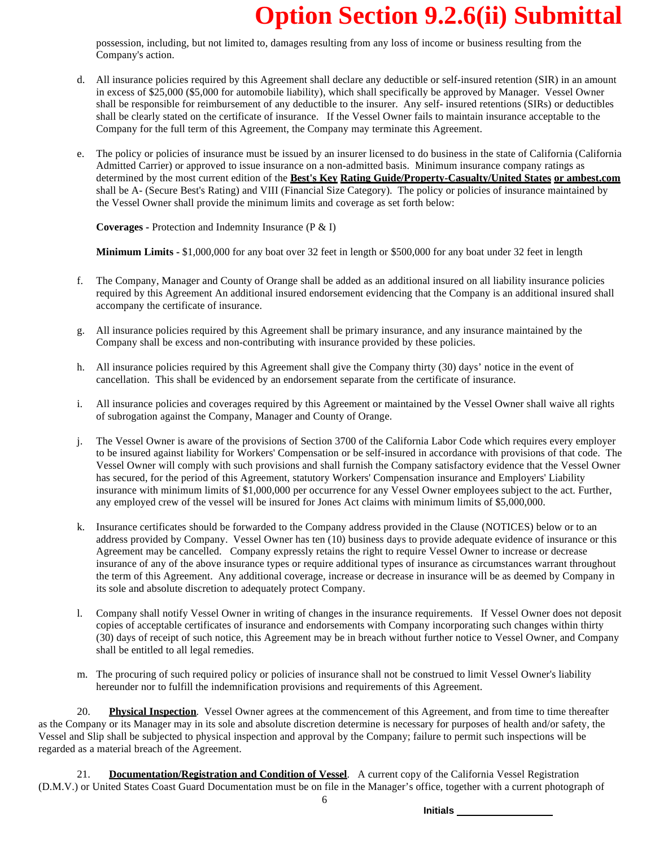possession, including, but not limited to, damages resulting from any loss of income or business resulting from the Company's action.

- d. All insurance policies required by this Agreement shall declare any deductible or self-insured retention (SIR) in an amount in excess of \$25,000 (\$5,000 for automobile liability), which shall specifically be approved by Manager. Vessel Owner shall be responsible for reimbursement of any deductible to the insurer. Any self- insured retentions (SIRs) or deductibles shall be clearly stated on the certificate of insurance. If the Vessel Owner fails to maintain insurance acceptable to the Company for the full term of this Agreement, the Company may terminate this Agreement.
- e. The policy or policies of insurance must be issued by an insurer licensed to do business in the state of California (California Admitted Carrier) or approved to issue insurance on a non-admitted basis. Minimum insurance company ratings as determined by the most current edition of the **Best's Key Rating Guide/Property-Casualty/United States or ambest.com** shall be A- (Secure Best's Rating) and VIII (Financial Size Category). The policy or policies of insurance maintained by the Vessel Owner shall provide the minimum limits and coverage as set forth below:

**Coverages -** Protection and Indemnity Insurance (P & I)

**Minimum Limits -** \$1,000,000 for any boat over 32 feet in length or \$500,000 for any boat under 32 feet in length

- f. The Company, Manager and County of Orange shall be added as an additional insured on all liability insurance policies required by this Agreement An additional insured endorsement evidencing that the Company is an additional insured shall accompany the certificate of insurance.
- g. All insurance policies required by this Agreement shall be primary insurance, and any insurance maintained by the Company shall be excess and non-contributing with insurance provided by these policies.
- h. All insurance policies required by this Agreement shall give the Company thirty (30) days' notice in the event of cancellation. This shall be evidenced by an endorsement separate from the certificate of insurance.
- i. All insurance policies and coverages required by this Agreement or maintained by the Vessel Owner shall waive all rights of subrogation against the Company, Manager and County of Orange.
- j. The Vessel Owner is aware of the provisions of Section 3700 of the California Labor Code which requires every employer to be insured against liability for Workers' Compensation or be self-insured in accordance with provisions of that code. The Vessel Owner will comply with such provisions and shall furnish the Company satisfactory evidence that the Vessel Owner has secured, for the period of this Agreement, statutory Workers' Compensation insurance and Employers' Liability insurance with minimum limits of \$1,000,000 per occurrence for any Vessel Owner employees subject to the act. Further, any employed crew of the vessel will be insured for Jones Act claims with minimum limits of \$5,000,000.
- k. Insurance certificates should be forwarded to the Company address provided in the Clause (NOTICES) below or to an address provided by Company. Vessel Owner has ten (10) business days to provide adequate evidence of insurance or this Agreement may be cancelled. Company expressly retains the right to require Vessel Owner to increase or decrease insurance of any of the above insurance types or require additional types of insurance as circumstances warrant throughout the term of this Agreement. Any additional coverage, increase or decrease in insurance will be as deemed by Company in its sole and absolute discretion to adequately protect Company.
- l. Company shall notify Vessel Owner in writing of changes in the insurance requirements. If Vessel Owner does not deposit copies of acceptable certificates of insurance and endorsements with Company incorporating such changes within thirty (30) days of receipt of such notice, this Agreement may be in breach without further notice to Vessel Owner, and Company shall be entitled to all legal remedies.
- m. The procuring of such required policy or policies of insurance shall not be construed to limit Vessel Owner's liability hereunder nor to fulfill the indemnification provisions and requirements of this Agreement.

20. **Physical Inspection**. Vessel Owner agrees at the commencement of this Agreement, and from time to time thereafter as the Company or its Manager may in its sole and absolute discretion determine is necessary for purposes of health and/or safety, the Vessel and Slip shall be subjected to physical inspection and approval by the Company; failure to permit such inspections will be regarded as a material breach of the Agreement.

21. **Documentation/Registration and Condition of Vessel**. A current copy of the California Vessel Registration (D.M.V.) or United States Coast Guard Documentation must be on file in the Manager's office, together with a current photograph of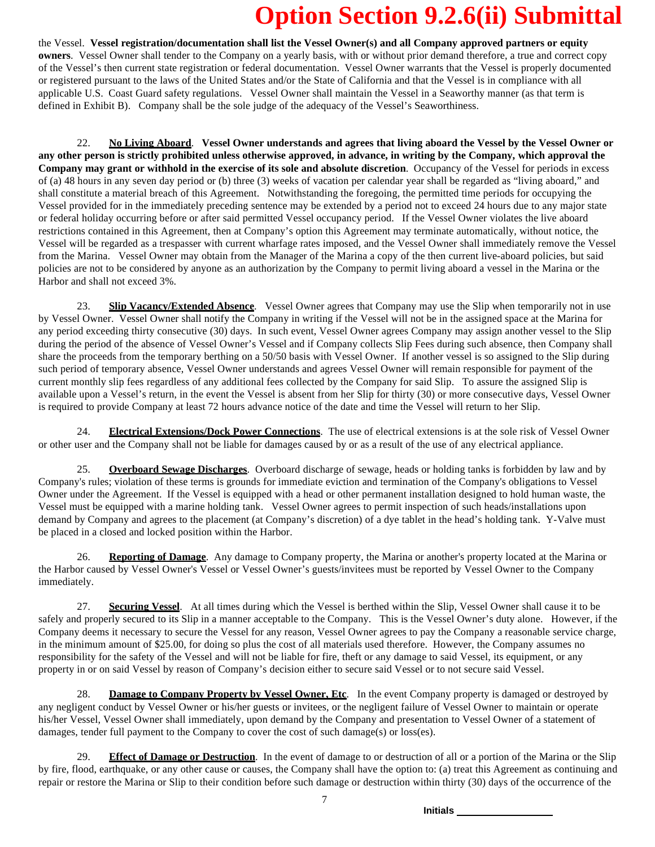the Vessel. **Vessel registration/documentation shall list the Vessel Owner(s) and all Company approved partners or equity owners**. Vessel Owner shall tender to the Company on a yearly basis, with or without prior demand therefore, a true and correct copy of the Vessel's then current state registration or federal documentation. Vessel Owner warrants that the Vessel is properly documented or registered pursuant to the laws of the United States and/or the State of California and that the Vessel is in compliance with all applicable U.S. Coast Guard safety regulations. Vessel Owner shall maintain the Vessel in a Seaworthy manner (as that term is defined in Exhibit B). Company shall be the sole judge of the adequacy of the Vessel's Seaworthiness.

22. **No Living Aboard**. **Vessel Owner understands and agrees that living aboard the Vessel by the Vessel Owner or** any other person is strictly prohibited unless otherwise approved, in advance, in writing by the Company, which approval the **Company may grant or withhold in the exercise of its sole and absolute discretion**. Occupancy of the Vessel for periods in excess of (a) 48 hours in any seven day period or (b) three (3) weeks of vacation per calendar year shall be regarded as "living aboard," and shall constitute a material breach of this Agreement. Notwithstanding the foregoing, the permitted time periods for occupying the Vessel provided for in the immediately preceding sentence may be extended by a period not to exceed 24 hours due to any major state or federal holiday occurring before or after said permitted Vessel occupancy period. If the Vessel Owner violates the live aboard restrictions contained in this Agreement, then at Company's option this Agreement may terminate automatically, without notice, the Vessel will be regarded as a trespasser with current wharfage rates imposed, and the Vessel Owner shall immediately remove the Vessel from the Marina. Vessel Owner may obtain from the Manager of the Marina a copy of the then current live-aboard policies, but said policies are not to be considered by anyone as an authorization by the Company to permit living aboard a vessel in the Marina or the Harbor and shall not exceed 3%.

23. **Slip Vacancy/Extended Absence**. Vessel Owner agrees that Company may use the Slip when temporarily not in use by Vessel Owner. Vessel Owner shall notify the Company in writing if the Vessel will not be in the assigned space at the Marina for any period exceeding thirty consecutive (30) days. In such event, Vessel Owner agrees Company may assign another vessel to the Slip during the period of the absence of Vessel Owner's Vessel and if Company collects Slip Fees during such absence, then Company shall share the proceeds from the temporary berthing on a 50/50 basis with Vessel Owner. If another vessel is so assigned to the Slip during such period of temporary absence, Vessel Owner understands and agrees Vessel Owner will remain responsible for payment of the current monthly slip fees regardless of any additional fees collected by the Company for said Slip. To assure the assigned Slip is available upon a Vessel's return, in the event the Vessel is absent from her Slip for thirty (30) or more consecutive days, Vessel Owner is required to provide Company at least 72 hours advance notice of the date and time the Vessel will return to her Slip.

24. **Electrical Extensions/Dock Power Connections**. The use of electrical extensions is at the sole risk of Vessel Owner or other user and the Company shall not be liable for damages caused by or as a result of the use of any electrical appliance.

25. **Overboard Sewage Discharges**. Overboard discharge of sewage, heads or holding tanks is forbidden by law and by Company's rules; violation of these terms is grounds for immediate eviction and termination of the Company's obligations to Vessel Owner under the Agreement. If the Vessel is equipped with a head or other permanent installation designed to hold human waste, the Vessel must be equipped with a marine holding tank. Vessel Owner agrees to permit inspection of such heads/installations upon demand by Company and agrees to the placement (at Company's discretion) of a dye tablet in the head's holding tank. Y-Valve must be placed in a closed and locked position within the Harbor.

26. **Reporting of Damage**. Any damage to Company property, the Marina or another's property located at the Marina or the Harbor caused by Vessel Owner's Vessel or Vessel Owner's guests/invitees must be reported by Vessel Owner to the Company immediately.

27. **Securing Vessel**. At all times during which the Vessel is berthed within the Slip, Vessel Owner shall cause it to be safely and properly secured to its Slip in a manner acceptable to the Company. This is the Vessel Owner's duty alone. However, if the Company deems it necessary to secure the Vessel for any reason, Vessel Owner agrees to pay the Company a reasonable service charge, in the minimum amount of \$25.00, for doing so plus the cost of all materials used therefore. However, the Company assumes no responsibility for the safety of the Vessel and will not be liable for fire, theft or any damage to said Vessel, its equipment, or any property in or on said Vessel by reason of Company's decision either to secure said Vessel or to not secure said Vessel.

28. **Damage to Company Property by Vessel Owner, Etc**. In the event Company property is damaged or destroyed by any negligent conduct by Vessel Owner or his/her guests or invitees, or the negligent failure of Vessel Owner to maintain or operate his/her Vessel, Vessel Owner shall immediately, upon demand by the Company and presentation to Vessel Owner of a statement of damages, tender full payment to the Company to cover the cost of such damage(s) or loss(es).

29. **Effect of Damage or Destruction**. In the event of damage to or destruction of all or a portion of the Marina or the Slip by fire, flood, earthquake, or any other cause or causes, the Company shall have the option to: (a) treat this Agreement as continuing and repair or restore the Marina or Slip to their condition before such damage or destruction within thirty (30) days of the occurrence of the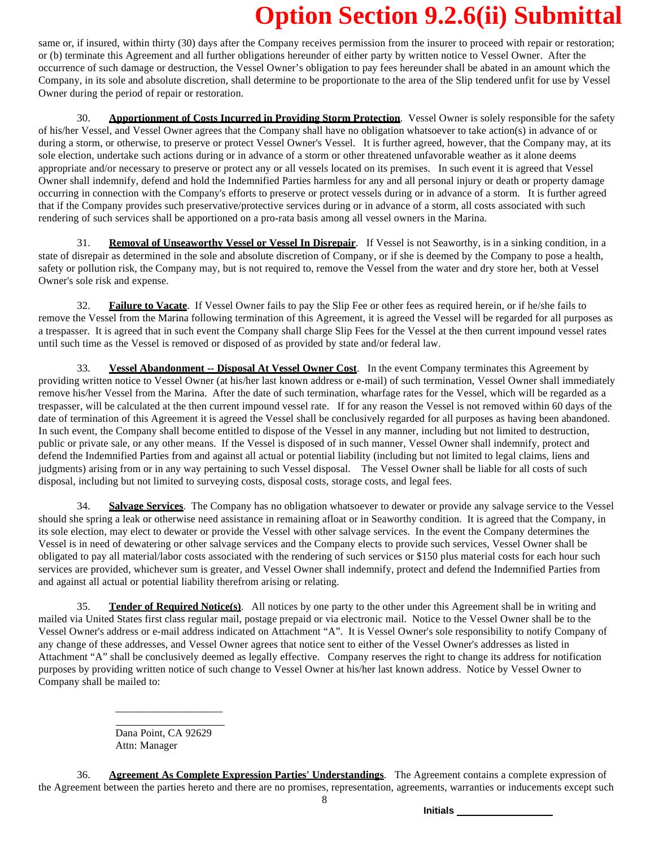same or, if insured, within thirty (30) days after the Company receives permission from the insurer to proceed with repair or restoration; or (b) terminate this Agreement and all further obligations hereunder of either party by written notice to Vessel Owner. After the occurrence of such damage or destruction, the Vessel Owner's obligation to pay fees hereunder shall be abated in an amount which the Company, in its sole and absolute discretion, shall determine to be proportionate to the area of the Slip tendered unfit for use by Vessel Owner during the period of repair or restoration.

30. **Apportionment of Costs Incurred in Providing Storm Protection**. Vessel Owner is solely responsible for the safety of his/her Vessel, and Vessel Owner agrees that the Company shall have no obligation whatsoever to take action(s) in advance of or during a storm, or otherwise, to preserve or protect Vessel Owner's Vessel. It is further agreed, however, that the Company may, at its sole election, undertake such actions during or in advance of a storm or other threatened unfavorable weather as it alone deems appropriate and/or necessary to preserve or protect any or all vessels located on its premises. In such event it is agreed that Vessel Owner shall indemnify, defend and hold the Indemnified Parties harmless for any and all personal injury or death or property damage occurring in connection with the Company's efforts to preserve or protect vessels during or in advance of a storm. It is further agreed that if the Company provides such preservative/protective services during or in advance of a storm, all costs associated with such rendering of such services shall be apportioned on a pro-rata basis among all vessel owners in the Marina.

31. **Removal of Unseaworthy Vessel or Vessel In Disrepair**. If Vessel is not Seaworthy, is in a sinking condition, in a state of disrepair as determined in the sole and absolute discretion of Company, or if she is deemed by the Company to pose a health, safety or pollution risk, the Company may, but is not required to, remove the Vessel from the water and dry store her, both at Vessel Owner's sole risk and expense.

32. **Failure to Vacate**. If Vessel Owner fails to pay the Slip Fee or other fees as required herein, or if he/she fails to remove the Vessel from the Marina following termination of this Agreement, it is agreed the Vessel will be regarded for all purposes as a trespasser. It is agreed that in such event the Company shall charge Slip Fees for the Vessel at the then current impound vessel rates until such time as the Vessel is removed or disposed of as provided by state and/or federal law.

33. **Vessel Abandonment -- Disposal At Vessel Owner Cost**. In the event Company terminates this Agreement by providing written notice to Vessel Owner (at his/her last known address or e-mail) of such termination, Vessel Owner shall immediately remove his/her Vessel from the Marina. After the date of such termination, wharfage rates for the Vessel, which will be regarded as a trespasser, will be calculated at the then current impound vessel rate. If for any reason the Vessel is not removed within 60 days of the date of termination of this Agreement it is agreed the Vessel shall be conclusively regarded for all purposes as having been abandoned. In such event, the Company shall become entitled to dispose of the Vessel in any manner, including but not limited to destruction, public or private sale, or any other means. If the Vessel is disposed of in such manner, Vessel Owner shall indemnify, protect and defend the Indemnified Parties from and against all actual or potential liability (including but not limited to legal claims, liens and judgments) arising from or in any way pertaining to such Vessel disposal. The Vessel Owner shall be liable for all costs of such disposal, including but not limited to surveying costs, disposal costs, storage costs, and legal fees.

34. **Salvage Services**. The Company has no obligation whatsoever to dewater or provide any salvage service to the Vessel should she spring a leak or otherwise need assistance in remaining afloat or in Seaworthy condition. It is agreed that the Company, in its sole election, may elect to dewater or provide the Vessel with other salvage services. In the event the Company determines the Vessel is in need of dewatering or other salvage services and the Company elects to provide such services, Vessel Owner shall be obligated to pay all material/labor costs associated with the rendering of such services or \$150 plus material costs for each hour such services are provided, whichever sum is greater, and Vessel Owner shall indemnify, protect and defend the Indemnified Parties from and against all actual or potential liability therefrom arising or relating.

35. **Tender of Required Notice(s)**. All notices by one party to the other under this Agreement shall be in writing and mailed via United States first class regular mail, postage prepaid or via electronic mail. Notice to the Vessel Owner shall be to the Vessel Owner's address or e-mail address indicated on Attachment "A". It is Vessel Owner's sole responsibility to notify Company of any change of these addresses, and Vessel Owner agrees that notice sent to either of the Vessel Owner's addresses as listed in Attachment "A" shall be conclusively deemed as legally effective. Company reserves the right to change its address for notification purposes by providing written notice of such change to Vessel Owner at his/her last known address. Notice by Vessel Owner to Company shall be mailed to:

> Dana Point, CA 92629 Attn: Manager

\_\_\_\_\_\_\_\_\_\_\_\_\_\_\_\_\_\_\_\_

36. **Agreement As Complete Expression Parties' Understandings**. The Agreement contains a complete expression of the Agreement between the parties hereto and there are no promises, representation, agreements, warranties or inducements except such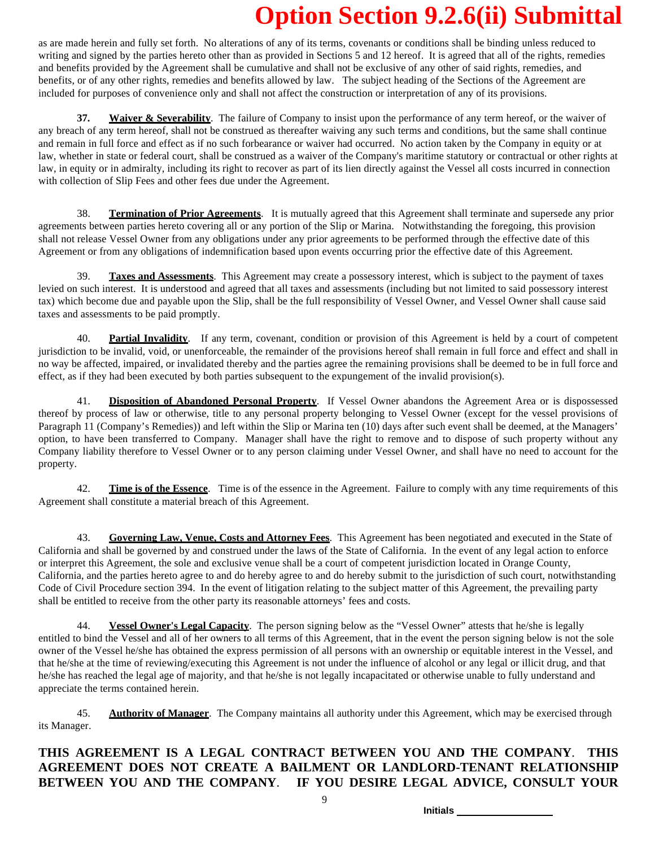as are made herein and fully set forth. No alterations of any of its terms, covenants or conditions shall be binding unless reduced to writing and signed by the parties hereto other than as provided in Sections 5 and 12 hereof. It is agreed that all of the rights, remedies and benefits provided by the Agreement shall be cumulative and shall not be exclusive of any other of said rights, remedies, and benefits, or of any other rights, remedies and benefits allowed by law. The subject heading of the Sections of the Agreement are included for purposes of convenience only and shall not affect the construction or interpretation of any of its provisions.

**37. Waiver & Severability**. The failure of Company to insist upon the performance of any term hereof, or the waiver of any breach of any term hereof, shall not be construed as thereafter waiving any such terms and conditions, but the same shall continue and remain in full force and effect as if no such forbearance or waiver had occurred. No action taken by the Company in equity or at law, whether in state or federal court, shall be construed as a waiver of the Company's maritime statutory or contractual or other rights at law, in equity or in admiralty, including its right to recover as part of its lien directly against the Vessel all costs incurred in connection with collection of Slip Fees and other fees due under the Agreement.

38. **Termination of Prior Agreements**. It is mutually agreed that this Agreement shall terminate and supersede any prior agreements between parties hereto covering all or any portion of the Slip or Marina. Notwithstanding the foregoing, this provision shall not release Vessel Owner from any obligations under any prior agreements to be performed through the effective date of this Agreement or from any obligations of indemnification based upon events occurring prior the effective date of this Agreement.

39. **Taxes and Assessments**. This Agreement may create a possessory interest, which is subject to the payment of taxes levied on such interest. It is understood and agreed that all taxes and assessments (including but not limited to said possessory interest tax) which become due and payable upon the Slip, shall be the full responsibility of Vessel Owner, and Vessel Owner shall cause said taxes and assessments to be paid promptly.

40. **Partial Invalidity**. If any term, covenant, condition or provision of this Agreement is held by a court of competent jurisdiction to be invalid, void, or unenforceable, the remainder of the provisions hereof shall remain in full force and effect and shall in no way be affected, impaired, or invalidated thereby and the parties agree the remaining provisions shall be deemed to be in full force and effect, as if they had been executed by both parties subsequent to the expungement of the invalid provision(s).

41. **Disposition of Abandoned Personal Property**. If Vessel Owner abandons the Agreement Area or is dispossessed thereof by process of law or otherwise, title to any personal property belonging to Vessel Owner (except for the vessel provisions of Paragraph 11 (Company's Remedies)) and left within the Slip or Marina ten (10) days after such event shall be deemed, at the Managers' option, to have been transferred to Company. Manager shall have the right to remove and to dispose of such property without any Company liability therefore to Vessel Owner or to any person claiming under Vessel Owner, and shall have no need to account for the property.

42. **Time is of the Essence**. Time is of the essence in the Agreement. Failure to comply with any time requirements of this Agreement shall constitute a material breach of this Agreement.

43. **Governing Law, Venue, Costs and Attorney Fees**. This Agreement has been negotiated and executed in the State of California and shall be governed by and construed under the laws of the State of California. In the event of any legal action to enforce or interpret this Agreement, the sole and exclusive venue shall be a court of competent jurisdiction located in Orange County, California, and the parties hereto agree to and do hereby agree to and do hereby submit to the jurisdiction of such court, notwithstanding Code of Civil Procedure section 394. In the event of litigation relating to the subject matter of this Agreement, the prevailing party shall be entitled to receive from the other party its reasonable attorneys' fees and costs.

44. **Vessel Owner's Legal Capacity**. The person signing below as the "Vessel Owner" attests that he/she is legally entitled to bind the Vessel and all of her owners to all terms of this Agreement, that in the event the person signing below is not the sole owner of the Vessel he/she has obtained the express permission of all persons with an ownership or equitable interest in the Vessel, and that he/she at the time of reviewing/executing this Agreement is not under the influence of alcohol or any legal or illicit drug, and that he/she has reached the legal age of majority, and that he/she is not legally incapacitated or otherwise unable to fully understand and appreciate the terms contained herein.

45. **Authority of Manager**. The Company maintains all authority under this Agreement, which may be exercised through its Manager.

### **THIS AGREEMENT IS A LEGAL CONTRACT BETWEEN YOU AND THE COMPANY**. **THIS AGREEMENT DOES NOT CREATE A BAILMENT OR LANDLORD-TENANT RELATIONSHIP BETWEEN YOU AND THE COMPANY**. **IF YOU DESIRE LEGAL ADVICE, CONSULT YOUR**

9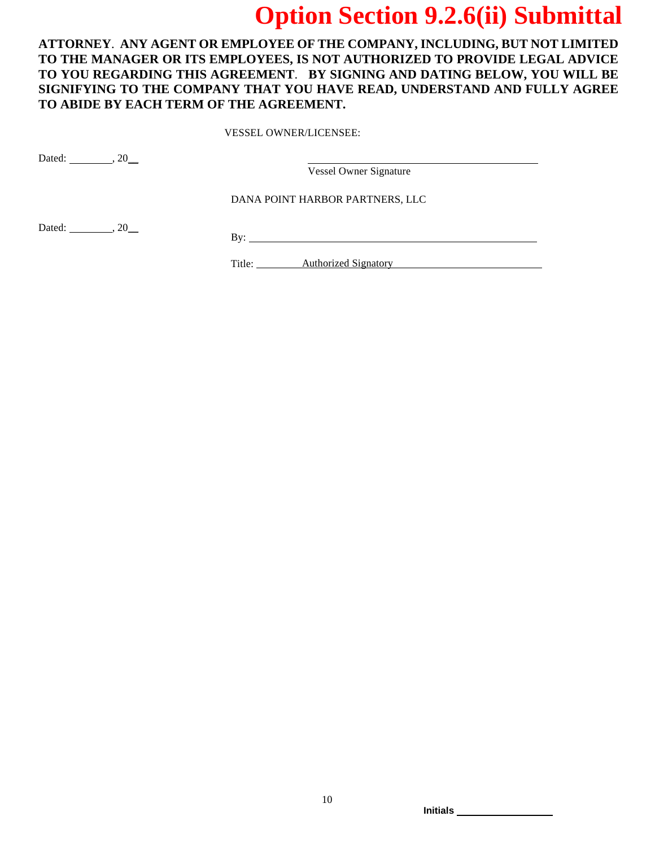**ATTORNEY**. **ANY AGENT OR EMPLOYEE OF THE COMPANY, INCLUDING, BUT NOT LIMITED TO THE MANAGER OR ITS EMPLOYEES, IS NOT AUTHORIZED TO PROVIDE LEGAL ADVICE TO YOU REGARDING THIS AGREEMENT**. **BY SIGNING AND DATING BELOW, YOU WILL BE SIGNIFYING TO THE COMPANY THAT YOU HAVE READ, UNDERSTAND AND FULLY AGREE TO ABIDE BY EACH TERM OF THE AGREEMENT.**

VESSEL OWNER/LICENSEE:

Dated: \_\_\_\_\_\_\_\_\_, 20\_\_\_

Vessel Owner Signature

DANA POINT HARBOR PARTNERS, LLC

Dated: \_\_\_\_\_\_\_\_\_, 20\_\_\_

By:

Title: **Authorized Signatory Authorized Signatory**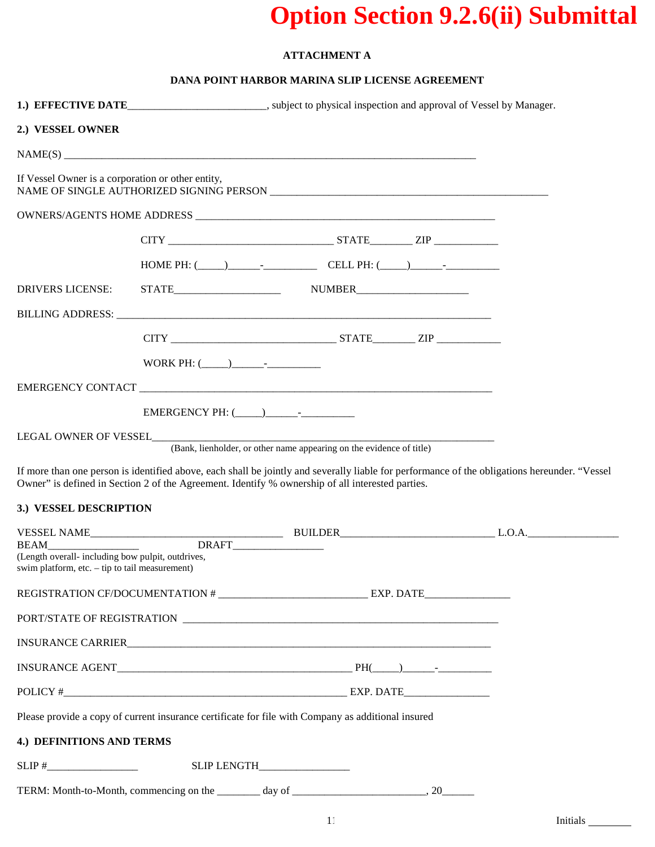### **ATTACHMENT A**

### **DANA POINT HARBOR MARINA SLIP LICENSE AGREEMENT**

|                                                                                                                      |  | 1.) EFFECTIVE DATE_______________________, subject to physical inspection and approval of Vessel by Manager.                                                                                                                                      |  |  |
|----------------------------------------------------------------------------------------------------------------------|--|---------------------------------------------------------------------------------------------------------------------------------------------------------------------------------------------------------------------------------------------------|--|--|
| 2.) VESSEL OWNER                                                                                                     |  |                                                                                                                                                                                                                                                   |  |  |
|                                                                                                                      |  |                                                                                                                                                                                                                                                   |  |  |
| If Vessel Owner is a corporation or other entity,                                                                    |  |                                                                                                                                                                                                                                                   |  |  |
|                                                                                                                      |  |                                                                                                                                                                                                                                                   |  |  |
|                                                                                                                      |  |                                                                                                                                                                                                                                                   |  |  |
|                                                                                                                      |  | HOME PH: $(\_\_)$ CELL PH: $(\_\_)$                                                                                                                                                                                                               |  |  |
| DRIVERS LICENSE:                                                                                                     |  |                                                                                                                                                                                                                                                   |  |  |
|                                                                                                                      |  |                                                                                                                                                                                                                                                   |  |  |
|                                                                                                                      |  |                                                                                                                                                                                                                                                   |  |  |
|                                                                                                                      |  |                                                                                                                                                                                                                                                   |  |  |
|                                                                                                                      |  |                                                                                                                                                                                                                                                   |  |  |
|                                                                                                                      |  |                                                                                                                                                                                                                                                   |  |  |
|                                                                                                                      |  |                                                                                                                                                                                                                                                   |  |  |
| 3.) VESSEL DESCRIPTION                                                                                               |  | If more than one person is identified above, each shall be jointly and severally liable for performance of the obligations hereunder. "Vessel<br>Owner" is defined in Section 2 of the Agreement. Identify % ownership of all interested parties. |  |  |
|                                                                                                                      |  |                                                                                                                                                                                                                                                   |  |  |
| <b>BEAM</b><br>(Length overall- including bow pulpit, outdrives,<br>swim platform, etc. $-$ tip to tail measurement) |  | DRAFT__________________                                                                                                                                                                                                                           |  |  |
|                                                                                                                      |  |                                                                                                                                                                                                                                                   |  |  |
|                                                                                                                      |  |                                                                                                                                                                                                                                                   |  |  |
|                                                                                                                      |  |                                                                                                                                                                                                                                                   |  |  |
|                                                                                                                      |  |                                                                                                                                                                                                                                                   |  |  |
|                                                                                                                      |  |                                                                                                                                                                                                                                                   |  |  |
|                                                                                                                      |  | Please provide a copy of current insurance certificate for file with Company as additional insured                                                                                                                                                |  |  |
| 4.) DEFINITIONS AND TERMS                                                                                            |  |                                                                                                                                                                                                                                                   |  |  |
| $SLIP \#$                                                                                                            |  | SLIP LENGTH__________________                                                                                                                                                                                                                     |  |  |
|                                                                                                                      |  |                                                                                                                                                                                                                                                   |  |  |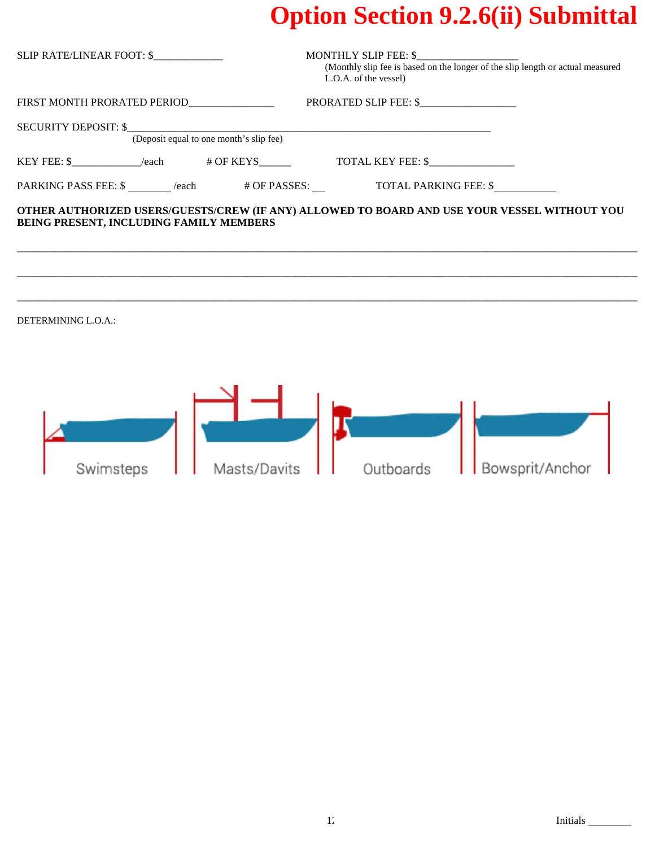| SLIP RATE/LINEAR FOOT: \$               | <b>MONTHLY SLIP FEE: \$</b><br>(Monthly slip fee is based on the longer of the slip length or actual measured<br>L.O.A. of the vessel) |  |  |
|-----------------------------------------|----------------------------------------------------------------------------------------------------------------------------------------|--|--|
| FIRST MONTH PRORATED PERIOD             | PRORATED SLIP FEE: \$                                                                                                                  |  |  |
|                                         |                                                                                                                                        |  |  |
|                                         |                                                                                                                                        |  |  |
|                                         |                                                                                                                                        |  |  |
| BEING PRESENT, INCLUDING FAMILY MEMBERS | OTHER AUTHORIZED USERS/GUESTS/CREW (IF ANY) ALLOWED TO BOARD AND USE YOUR VESSEL WITHOUT YOU                                           |  |  |
| DETERMINING L.O.A.:                     |                                                                                                                                        |  |  |
| Masts/Davits<br>Swimsteps               | Bowsprit/Anchor<br>Outboards                                                                                                           |  |  |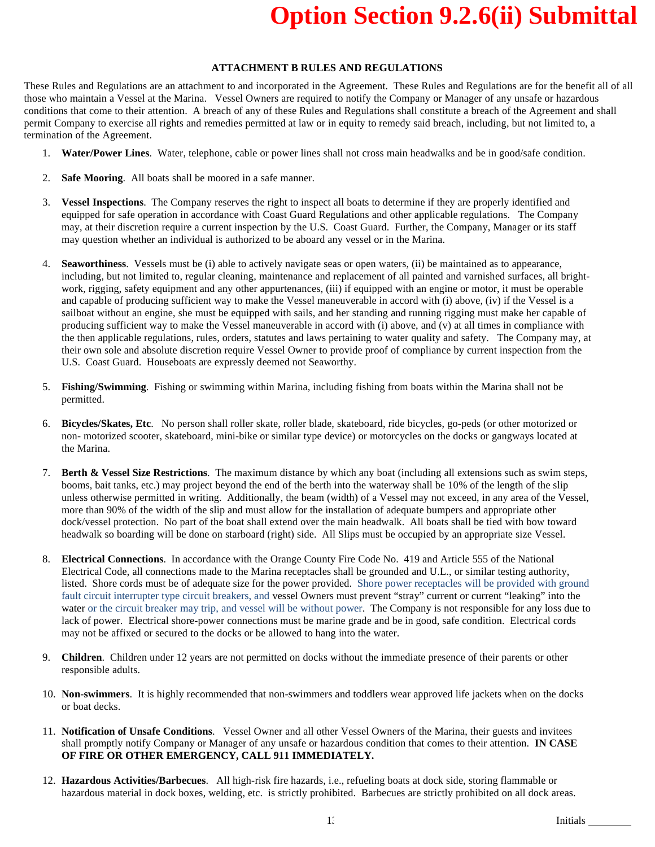### **ATTACHMENT B RULES AND REGULATIONS**

These Rules and Regulations are an attachment to and incorporated in the Agreement. These Rules and Regulations are for the benefit all of all those who maintain a Vessel at the Marina. Vessel Owners are required to notify the Company or Manager of any unsafe or hazardous conditions that come to their attention. A breach of any of these Rules and Regulations shall constitute a breach of the Agreement and shall permit Company to exercise all rights and remedies permitted at law or in equity to remedy said breach, including, but not limited to, a termination of the Agreement.

- 1. **Water/Power Lines**. Water, telephone, cable or power lines shall not cross main headwalks and be in good/safe condition.
- 2. **Safe Mooring**. All boats shall be moored in a safe manner.
- 3. **Vessel Inspections**. The Company reserves the right to inspect all boats to determine if they are properly identified and equipped for safe operation in accordance with Coast Guard Regulations and other applicable regulations. The Company may, at their discretion require a current inspection by the U.S. Coast Guard. Further, the Company, Manager or its staff may question whether an individual is authorized to be aboard any vessel or in the Marina.
- 4. **Seaworthiness**. Vessels must be (i) able to actively navigate seas or open waters, (ii) be maintained as to appearance, including, but not limited to, regular cleaning, maintenance and replacement of all painted and varnished surfaces, all brightwork, rigging, safety equipment and any other appurtenances, (iii) if equipped with an engine or motor, it must be operable and capable of producing sufficient way to make the Vessel maneuverable in accord with (i) above, (iv) if the Vessel is a sailboat without an engine, she must be equipped with sails, and her standing and running rigging must make her capable of producing sufficient way to make the Vessel maneuverable in accord with (i) above, and (v) at all times in compliance with the then applicable regulations, rules, orders, statutes and laws pertaining to water quality and safety. The Company may, at their own sole and absolute discretion require Vessel Owner to provide proof of compliance by current inspection from the U.S. Coast Guard. Houseboats are expressly deemed not Seaworthy.
- 5. **Fishing/Swimming**. Fishing or swimming within Marina, including fishing from boats within the Marina shall not be permitted.
- 6. **Bicycles/Skates, Etc**. No person shall roller skate, roller blade, skateboard, ride bicycles, go-peds (or other motorized or non- motorized scooter, skateboard, mini-bike or similar type device) or motorcycles on the docks or gangways located at the Marina.
- 7. **Berth & Vessel Size Restrictions**. The maximum distance by which any boat (including all extensions such as swim steps, booms, bait tanks, etc.) may project beyond the end of the berth into the waterway shall be 10% of the length of the slip unless otherwise permitted in writing. Additionally, the beam (width) of a Vessel may not exceed, in any area of the Vessel, more than 90% of the width of the slip and must allow for the installation of adequate bumpers and appropriate other dock/vessel protection. No part of the boat shall extend over the main headwalk. All boats shall be tied with bow toward headwalk so boarding will be done on starboard (right) side. All Slips must be occupied by an appropriate size Vessel.
- 8. **Electrical Connections**. In accordance with the Orange County Fire Code No. 419 and Article 555 of the National Electrical Code, all connections made to the Marina receptacles shall be grounded and U.L., or similar testing authority, listed. Shore cords must be of adequate size for the power provided. Shore power receptacles will be provided with ground fault circuit interrupter type circuit breakers, and vessel Owners must prevent "stray" current or current "leaking" into the water or the circuit breaker may trip, and vessel will be without power. The Company is not responsible for any loss due to lack of power. Electrical shore-power connections must be marine grade and be in good, safe condition. Electrical cords may not be affixed or secured to the docks or be allowed to hang into the water.
- 9. **Children**. Children under 12 years are not permitted on docks without the immediate presence of their parents or other responsible adults.
- 10. **Non-swimmers**. It is highly recommended that non-swimmers and toddlers wear approved life jackets when on the docks or boat decks.
- 11. **Notification of Unsafe Conditions**. Vessel Owner and all other Vessel Owners of the Marina, their guests and invitees shall promptly notify Company or Manager of any unsafe or hazardous condition that comes to their attention. **IN CASE OF FIRE OR OTHER EMERGENCY, CALL 911 IMMEDIATELY.**
- 12. **Hazardous Activities/Barbecues**. All high-risk fire hazards, i.e., refueling boats at dock side, storing flammable or hazardous material in dock boxes, welding, etc. is strictly prohibited. Barbecues are strictly prohibited on all dock areas.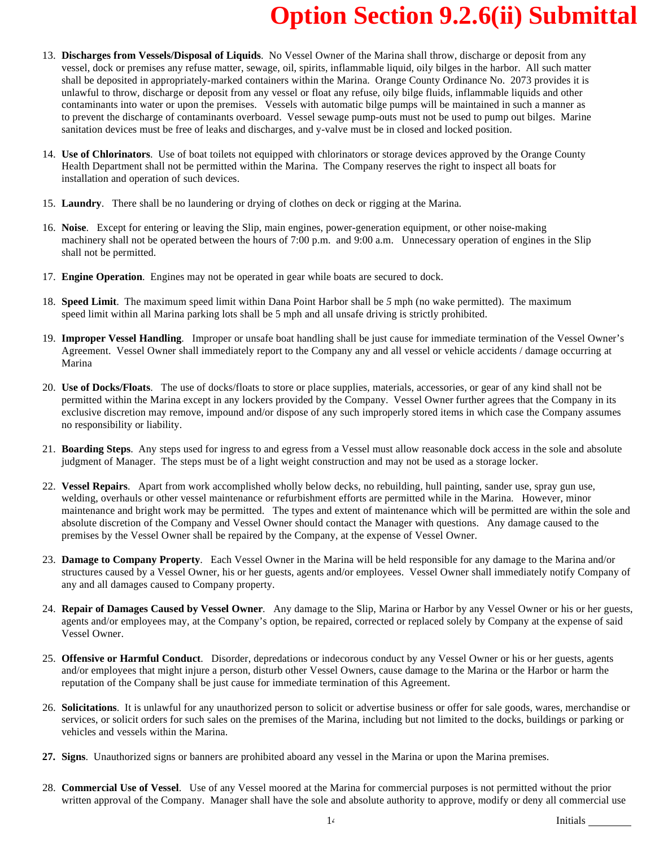- 13. **Discharges from Vessels/Disposal of Liquids**. No Vessel Owner of the Marina shall throw, discharge or deposit from any vessel, dock or premises any refuse matter, sewage, oil, spirits, inflammable liquid, oily bilges in the harbor. All such matter shall be deposited in appropriately-marked containers within the Marina. Orange County Ordinance No. 2073 provides it is unlawful to throw, discharge or deposit from any vessel or float any refuse, oily bilge fluids, inflammable liquids and other contaminants into water or upon the premises. Vessels with automatic bilge pumps will be maintained in such a manner as to prevent the discharge of contaminants overboard. Vessel sewage pump-outs must not be used to pump out bilges. Marine sanitation devices must be free of leaks and discharges, and y-valve must be in closed and locked position.
- 14. **Use of Chlorinators**. Use of boat toilets not equipped with chlorinators or storage devices approved by the Orange County Health Department shall not be permitted within the Marina. The Company reserves the right to inspect all boats for installation and operation of such devices.
- 15. **Laundry**. There shall be no laundering or drying of clothes on deck or rigging at the Marina.
- 16. **Noise**. Except for entering or leaving the Slip, main engines, power-generation equipment, or other noise-making machinery shall not be operated between the hours of 7:00 p.m. and 9:00 a.m. Unnecessary operation of engines in the Slip shall not be permitted.
- 17. **Engine Operation**. Engines may not be operated in gear while boats are secured to dock.
- 18. **Speed Limit**. The maximum speed limit within Dana Point Harbor shall be *5* mph (no wake permitted). The maximum speed limit within all Marina parking lots shall be 5 mph and all unsafe driving is strictly prohibited.
- 19. **Improper Vessel Handling**. Improper or unsafe boat handling shall be just cause for immediate termination of the Vessel Owner's Agreement. Vessel Owner shall immediately report to the Company any and all vessel or vehicle accidents / damage occurring at Marina
- 20. **Use of Docks/Floats**. The use of docks/floats to store or place supplies, materials, accessories, or gear of any kind shall not be permitted within the Marina except in any lockers provided by the Company. Vessel Owner further agrees that the Company in its exclusive discretion may remove, impound and/or dispose of any such improperly stored items in which case the Company assumes no responsibility or liability.
- 21. **Boarding Steps**. Any steps used for ingress to and egress from a Vessel must allow reasonable dock access in the sole and absolute judgment of Manager. The steps must be of a light weight construction and may not be used as a storage locker.
- 22. **Vessel Repairs**. Apart from work accomplished wholly below decks, no rebuilding, hull painting, sander use, spray gun use, welding, overhauls or other vessel maintenance or refurbishment efforts are permitted while in the Marina. However, minor maintenance and bright work may be permitted. The types and extent of maintenance which will be permitted are within the sole and absolute discretion of the Company and Vessel Owner should contact the Manager with questions. Any damage caused to the premises by the Vessel Owner shall be repaired by the Company, at the expense of Vessel Owner.
- 23. **Damage to Company Property**. Each Vessel Owner in the Marina will be held responsible for any damage to the Marina and/or structures caused by a Vessel Owner, his or her guests, agents and/or employees. Vessel Owner shall immediately notify Company of any and all damages caused to Company property.
- 24. **Repair of Damages Caused by Vessel Owner**. Any damage to the Slip, Marina or Harbor by any Vessel Owner or his or her guests, agents and/or employees may, at the Company's option, be repaired, corrected or replaced solely by Company at the expense of said Vessel Owner.
- 25. **Offensive or Harmful Conduct**. Disorder, depredations or indecorous conduct by any Vessel Owner or his or her guests, agents and/or employees that might injure a person, disturb other Vessel Owners, cause damage to the Marina or the Harbor or harm the reputation of the Company shall be just cause for immediate termination of this Agreement.
- 26. **Solicitations**. It is unlawful for any unauthorized person to solicit or advertise business or offer for sale goods, wares, merchandise or services, or solicit orders for such sales on the premises of the Marina, including but not limited to the docks, buildings or parking or vehicles and vessels within the Marina.
- **27. Signs**. Unauthorized signs or banners are prohibited aboard any vessel in the Marina or upon the Marina premises.
- 28. **Commercial Use of Vessel**. Use of any Vessel moored at the Marina for commercial purposes is not permitted without the prior written approval of the Company. Manager shall have the sole and absolute authority to approve, modify or deny all commercial use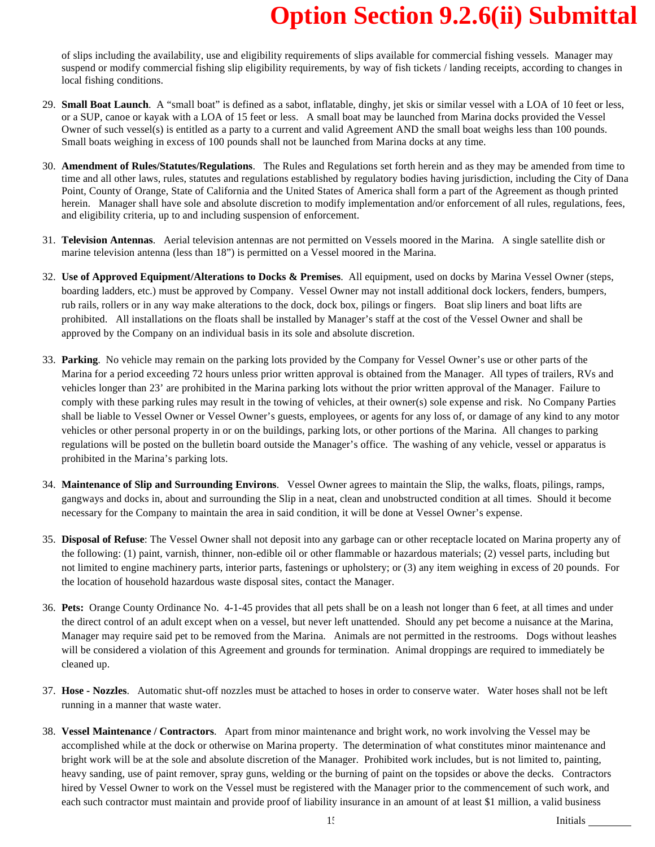of slips including the availability, use and eligibility requirements of slips available for commercial fishing vessels. Manager may suspend or modify commercial fishing slip eligibility requirements, by way of fish tickets / landing receipts, according to changes in local fishing conditions.

- 29. **Small Boat Launch**. A "small boat" is defined as a sabot, inflatable, dinghy, jet skis or similar vessel with a LOA of 10 feet or less, or a SUP, canoe or kayak with a LOA of 15 feet or less. A small boat may be launched from Marina docks provided the Vessel Owner of such vessel(s) is entitled as a party to a current and valid Agreement AND the small boat weighs less than 100 pounds. Small boats weighing in excess of 100 pounds shall not be launched from Marina docks at any time.
- 30. **Amendment of Rules/Statutes/Regulations**. The Rules and Regulations set forth herein and as they may be amended from time to time and all other laws, rules, statutes and regulations established by regulatory bodies having jurisdiction, including the City of Dana Point, County of Orange, State of California and the United States of America shall form a part of the Agreement as though printed herein. Manager shall have sole and absolute discretion to modify implementation and/or enforcement of all rules, regulations, fees, and eligibility criteria, up to and including suspension of enforcement.
- 31. **Television Antennas**. Aerial television antennas are not permitted on Vessels moored in the Marina. A single satellite dish or marine television antenna (less than 18") is permitted on a Vessel moored in the Marina.
- 32. **Use of Approved Equipment/Alterations to Docks & Premises**. All equipment, used on docks by Marina Vessel Owner (steps, boarding ladders, etc.) must be approved by Company. Vessel Owner may not install additional dock lockers, fenders, bumpers, rub rails, rollers or in any way make alterations to the dock, dock box, pilings or fingers. Boat slip liners and boat lifts are prohibited. All installations on the floats shall be installed by Manager's staff at the cost of the Vessel Owner and shall be approved by the Company on an individual basis in its sole and absolute discretion.
- 33. **Parking**. No vehicle may remain on the parking lots provided by the Company for Vessel Owner's use or other parts of the Marina for a period exceeding 72 hours unless prior written approval is obtained from the Manager. All types of trailers, RVs and vehicles longer than 23' are prohibited in the Marina parking lots without the prior written approval of the Manager. Failure to comply with these parking rules may result in the towing of vehicles, at their owner(s) sole expense and risk. No Company Parties shall be liable to Vessel Owner or Vessel Owner's guests, employees, or agents for any loss of, or damage of any kind to any motor vehicles or other personal property in or on the buildings, parking lots, or other portions of the Marina. All changes to parking regulations will be posted on the bulletin board outside the Manager's office. The washing of any vehicle, vessel or apparatus is prohibited in the Marina's parking lots.
- 34. **Maintenance of Slip and Surrounding Environs**. Vessel Owner agrees to maintain the Slip, the walks, floats, pilings, ramps, gangways and docks in, about and surrounding the Slip in a neat, clean and unobstructed condition at all times. Should it become necessary for the Company to maintain the area in said condition, it will be done at Vessel Owner's expense.
- 35. **Disposal of Refuse**: The Vessel Owner shall not deposit into any garbage can or other receptacle located on Marina property any of the following: (1) paint, varnish, thinner, non-edible oil or other flammable or hazardous materials; (2) vessel parts, including but not limited to engine machinery parts, interior parts, fastenings or upholstery; or (3) any item weighing in excess of 20 pounds. For the location of household hazardous waste disposal sites, contact the Manager.
- 36. **Pets:** Orange County Ordinance No. 4-1-45 provides that all pets shall be on a leash not longer than 6 feet, at all times and under the direct control of an adult except when on a vessel, but never left unattended. Should any pet become a nuisance at the Marina, Manager may require said pet to be removed from the Marina. Animals are not permitted in the restrooms. Dogs without leashes will be considered a violation of this Agreement and grounds for termination. Animal droppings are required to immediately be cleaned up.
- 37. **Hose - Nozzles**. Automatic shut-off nozzles must be attached to hoses in order to conserve water. Water hoses shall not be left running in a manner that waste water.
- 38. **Vessel Maintenance / Contractors**. Apart from minor maintenance and bright work, no work involving the Vessel may be accomplished while at the dock or otherwise on Marina property. The determination of what constitutes minor maintenance and bright work will be at the sole and absolute discretion of the Manager. Prohibited work includes, but is not limited to, painting, heavy sanding, use of paint remover, spray guns, welding or the burning of paint on the topsides or above the decks. Contractors hired by Vessel Owner to work on the Vessel must be registered with the Manager prior to the commencement of such work, and each such contractor must maintain and provide proof of liability insurance in an amount of at least \$1 million, a valid business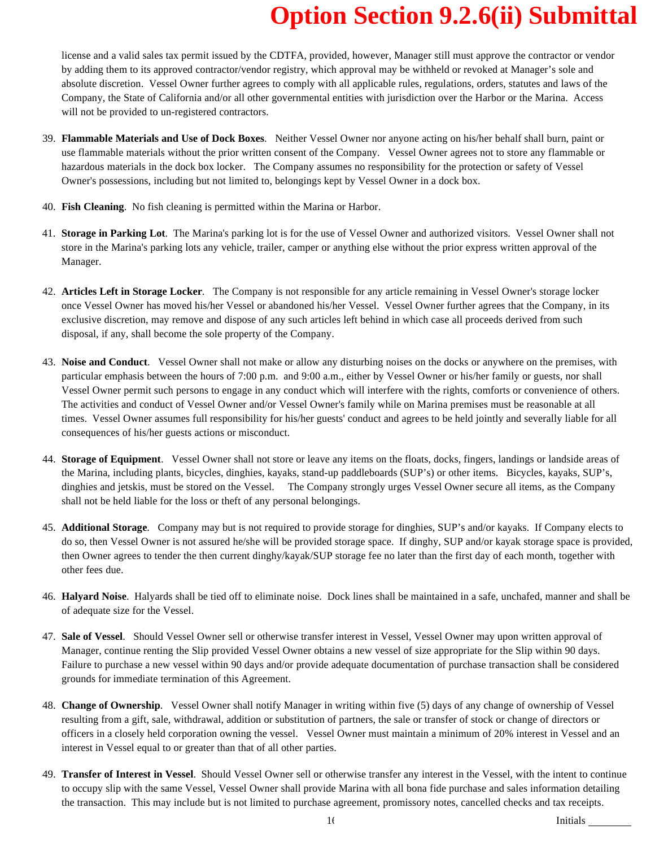license and a valid sales tax permit issued by the CDTFA, provided, however, Manager still must approve the contractor or vendor by adding them to its approved contractor/vendor registry, which approval may be withheld or revoked at Manager's sole and absolute discretion. Vessel Owner further agrees to comply with all applicable rules, regulations, orders, statutes and laws of the Company, the State of California and/or all other governmental entities with jurisdiction over the Harbor or the Marina. Access will not be provided to un-registered contractors.

- 39. **Flammable Materials and Use of Dock Boxes**. Neither Vessel Owner nor anyone acting on his/her behalf shall burn, paint or use flammable materials without the prior written consent of the Company. Vessel Owner agrees not to store any flammable or hazardous materials in the dock box locker. The Company assumes no responsibility for the protection or safety of Vessel Owner's possessions, including but not limited to, belongings kept by Vessel Owner in a dock box.
- 40. **Fish Cleaning**. No fish cleaning is permitted within the Marina or Harbor.
- 41. **Storage in Parking Lot**. The Marina's parking lot is for the use of Vessel Owner and authorized visitors. Vessel Owner shall not store in the Marina's parking lots any vehicle, trailer, camper or anything else without the prior express written approval of the Manager.
- 42. **Articles Left in Storage Locker**. The Company is not responsible for any article remaining in Vessel Owner's storage locker once Vessel Owner has moved his/her Vessel or abandoned his/her Vessel. Vessel Owner further agrees that the Company, in its exclusive discretion, may remove and dispose of any such articles left behind in which case all proceeds derived from such disposal, if any, shall become the sole property of the Company.
- 43. **Noise and Conduct**. Vessel Owner shall not make or allow any disturbing noises on the docks or anywhere on the premises, with particular emphasis between the hours of 7:00 p.m. and 9:00 a.m., either by Vessel Owner or his/her family or guests, nor shall Vessel Owner permit such persons to engage in any conduct which will interfere with the rights, comforts or convenience of others. The activities and conduct of Vessel Owner and/or Vessel Owner's family while on Marina premises must be reasonable at all times. Vessel Owner assumes full responsibility for his/her guests' conduct and agrees to be held jointly and severally liable for all consequences of his/her guests actions or misconduct.
- 44. **Storage of Equipment**. Vessel Owner shall not store or leave any items on the floats, docks, fingers, landings or landside areas of the Marina, including plants, bicycles, dinghies, kayaks, stand-up paddleboards (SUP's) or other items. Bicycles, kayaks, SUP's, dinghies and jetskis, must be stored on the Vessel. The Company strongly urges Vessel Owner secure all items, as the Company shall not be held liable for the loss or theft of any personal belongings.
- 45. **Additional Storage**. Company may but is not required to provide storage for dinghies, SUP's and/or kayaks. If Company elects to do so, then Vessel Owner is not assured he/she will be provided storage space. If dinghy, SUP and/or kayak storage space is provided, then Owner agrees to tender the then current dinghy/kayak/SUP storage fee no later than the first day of each month, together with other fees due.
- 46. **Halyard Noise**. Halyards shall be tied off to eliminate noise. Dock lines shall be maintained in a safe, unchafed, manner and shall be of adequate size for the Vessel.
- 47. **Sale of Vessel**. Should Vessel Owner sell or otherwise transfer interest in Vessel, Vessel Owner may upon written approval of Manager, continue renting the Slip provided Vessel Owner obtains a new vessel of size appropriate for the Slip within 90 days. Failure to purchase a new vessel within 90 days and/or provide adequate documentation of purchase transaction shall be considered grounds for immediate termination of this Agreement.
- 48. **Change of Ownership**. Vessel Owner shall notify Manager in writing within five (5) days of any change of ownership of Vessel resulting from a gift, sale, withdrawal, addition or substitution of partners, the sale or transfer of stock or change of directors or officers in a closely held corporation owning the vessel. Vessel Owner must maintain a minimum of 20% interest in Vessel and an interest in Vessel equal to or greater than that of all other parties.
- 49. **Transfer of Interest in Vessel**. Should Vessel Owner sell or otherwise transfer any interest in the Vessel, with the intent to continue to occupy slip with the same Vessel, Vessel Owner shall provide Marina with all bona fide purchase and sales information detailing the transaction. This may include but is not limited to purchase agreement, promissory notes, cancelled checks and tax receipts.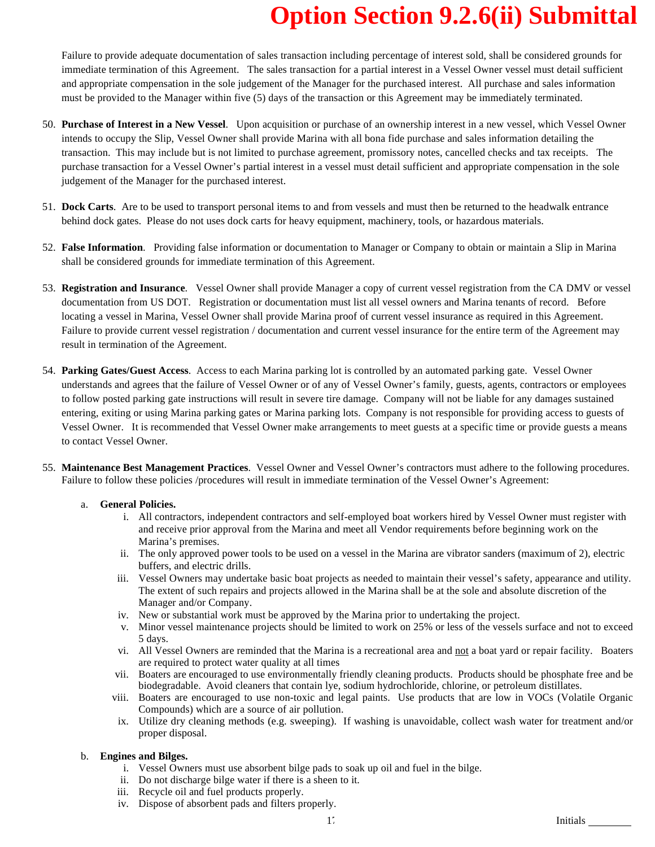Failure to provide adequate documentation of sales transaction including percentage of interest sold, shall be considered grounds for immediate termination of this Agreement. The sales transaction for a partial interest in a Vessel Owner vessel must detail sufficient and appropriate compensation in the sole judgement of the Manager for the purchased interest. All purchase and sales information must be provided to the Manager within five (5) days of the transaction or this Agreement may be immediately terminated.

- 50. **Purchase of Interest in a New Vessel**. Upon acquisition or purchase of an ownership interest in a new vessel, which Vessel Owner intends to occupy the Slip, Vessel Owner shall provide Marina with all bona fide purchase and sales information detailing the transaction. This may include but is not limited to purchase agreement, promissory notes, cancelled checks and tax receipts. The purchase transaction for a Vessel Owner's partial interest in a vessel must detail sufficient and appropriate compensation in the sole judgement of the Manager for the purchased interest.
- 51. **Dock Carts**. Are to be used to transport personal items to and from vessels and must then be returned to the headwalk entrance behind dock gates. Please do not uses dock carts for heavy equipment, machinery, tools, or hazardous materials.
- 52. **False Information**. Providing false information or documentation to Manager or Company to obtain or maintain a Slip in Marina shall be considered grounds for immediate termination of this Agreement.
- 53. **Registration and Insurance**. Vessel Owner shall provide Manager a copy of current vessel registration from the CA DMV or vessel documentation from US DOT. Registration or documentation must list all vessel owners and Marina tenants of record. Before locating a vessel in Marina, Vessel Owner shall provide Marina proof of current vessel insurance as required in this Agreement. Failure to provide current vessel registration / documentation and current vessel insurance for the entire term of the Agreement may result in termination of the Agreement.
- 54. **Parking Gates/Guest Access**. Access to each Marina parking lot is controlled by an automated parking gate. Vessel Owner understands and agrees that the failure of Vessel Owner or of any of Vessel Owner's family, guests, agents, contractors or employees to follow posted parking gate instructions will result in severe tire damage. Company will not be liable for any damages sustained entering, exiting or using Marina parking gates or Marina parking lots. Company is not responsible for providing access to guests of Vessel Owner. It is recommended that Vessel Owner make arrangements to meet guests at a specific time or provide guests a means to contact Vessel Owner.
- 55. **Maintenance Best Management Practices**. Vessel Owner and Vessel Owner's contractors must adhere to the following procedures. Failure to follow these policies /procedures will result in immediate termination of the Vessel Owner's Agreement:

### a. **General Policies.**

- i. All contractors, independent contractors and self-employed boat workers hired by Vessel Owner must register with and receive prior approval from the Marina and meet all Vendor requirements before beginning work on the Marina's premises.
- ii. The only approved power tools to be used on a vessel in the Marina are vibrator sanders (maximum of 2), electric buffers, and electric drills.
- iii. Vessel Owners may undertake basic boat projects as needed to maintain their vessel's safety, appearance and utility. The extent of such repairs and projects allowed in the Marina shall be at the sole and absolute discretion of the Manager and/or Company.
- iv. New or substantial work must be approved by the Marina prior to undertaking the project.
- v. Minor vessel maintenance projects should be limited to work on 25% or less of the vessels surface and not to exceed 5 days.
- vi. All Vessel Owners are reminded that the Marina is a recreational area and not a boat yard or repair facility. Boaters are required to protect water quality at all times
- vii. Boaters are encouraged to use environmentally friendly cleaning products. Products should be phosphate free and be biodegradable. Avoid cleaners that contain lye, sodium hydrochloride, chlorine, or petroleum distillates.
- viii. Boaters are encouraged to use non-toxic and legal paints. Use products that are low in VOCs (Volatile Organic Compounds) which are a source of air pollution.
- ix. Utilize dry cleaning methods (e.g. sweeping). If washing is unavoidable, collect wash water for treatment and/or proper disposal.

#### b. **Engines and Bilges.**

- i. Vessel Owners must use absorbent bilge pads to soak up oil and fuel in the bilge.
- ii. Do not discharge bilge water if there is a sheen to it.
- iii. Recycle oil and fuel products properly.
- iv. Dispose of absorbent pads and filters properly.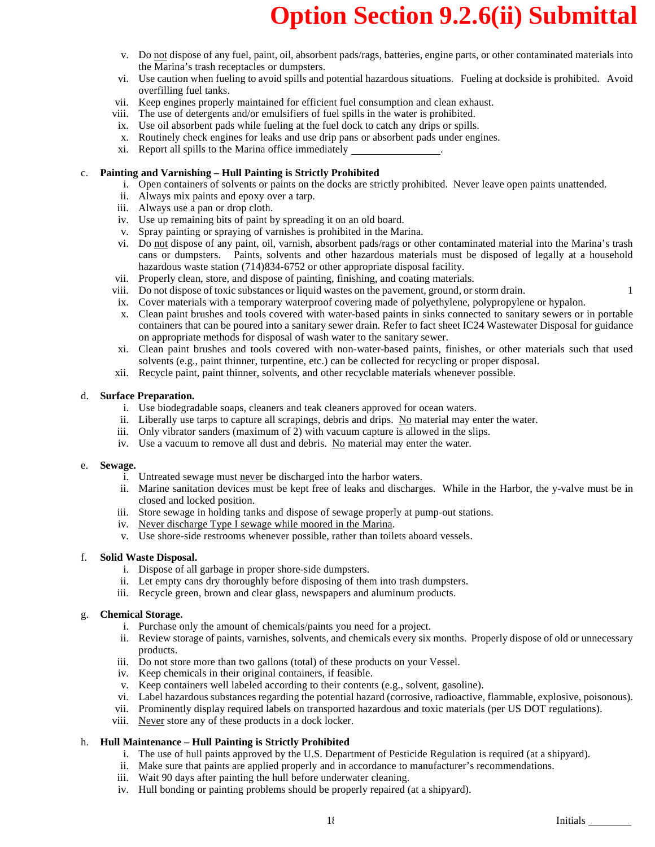- v. Do not dispose of any fuel, paint, oil, absorbent pads/rags, batteries, engine parts, or other contaminated materials into the Marina's trash receptacles or dumpsters.
- vi. Use caution when fueling to avoid spills and potential hazardous situations. Fueling at dockside is prohibited. Avoid overfilling fuel tanks.
- vii. Keep engines properly maintained for efficient fuel consumption and clean exhaust.
- viii. The use of detergents and/or emulsifiers of fuel spills in the water is prohibited.
- ix. Use oil absorbent pads while fueling at the fuel dock to catch any drips or spills.
- x. Routinely check engines for leaks and use drip pans or absorbent pads under engines.
- xi. Report all spills to the Marina office immediately .

### c. **Painting and Varnishing – Hull Painting is Strictly Prohibited**

- i. Open containers of solvents or paints on the docks are strictly prohibited. Never leave open paints unattended.
- ii. Always mix paints and epoxy over a tarp.
- iii. Always use a pan or drop cloth.
- iv. Use up remaining bits of paint by spreading it on an old board.
- v. Spray painting or spraying of varnishes is prohibited in the Marina.
- vi. Do not dispose of any paint, oil, varnish, absorbent pads/rags or other contaminated material into the Marina's trash cans or dumpsters. Paints, solvents and other hazardous materials must be disposed of legally at a household hazardous waste station (714)834-6752 or other appropriate disposal facility.
- vii. Properly clean, store, and dispose of painting, finishing, and coating materials.
- viii. Do not dispose of toxic substances or liquid wastes on the pavement, ground, or storm drain. 1
- ix. Cover materials with a temporary waterproof covering made of polyethylene, polypropylene or hypalon.
- x. Clean paint brushes and tools covered with water-based paints in sinks connected to sanitary sewers or in portable containers that can be poured into a sanitary sewer drain. Refer to fact sheet IC24 Wastewater Disposal for guidance on appropriate methods for disposal of wash water to the sanitary sewer.
- xi. Clean paint brushes and tools covered with non-water-based paints, finishes, or other materials such that used solvents (e.g., paint thinner, turpentine, etc.) can be collected for recycling or proper disposal.
- xii. Recycle paint, paint thinner, solvents, and other recyclable materials whenever possible.

#### d. **Surface Preparation.**

- i. Use biodegradable soaps, cleaners and teak cleaners approved for ocean waters.
- ii. Liberally use tarps to capture all scrapings, debris and drips. No material may enter the water.
- iii. Only vibrator sanders (maximum of 2) with vacuum capture is allowed in the slips.
- iv. Use a vacuum to remove all dust and debris. No material may enter the water.

#### e. **Sewage.**

- i. Untreated sewage must never be discharged into the harbor waters.
- ii. Marine sanitation devices must be kept free of leaks and discharges. While in the Harbor, the y-valve must be in closed and locked position.
- iii. Store sewage in holding tanks and dispose of sewage properly at pump-out stations.
- iv. Never discharge Type I sewage while moored in the Marina.
- v. Use shore-side restrooms whenever possible, rather than toilets aboard vessels.

### f. **Solid Waste Disposal.**

- i. Dispose of all garbage in proper shore-side dumpsters.
- ii. Let empty cans dry thoroughly before disposing of them into trash dumpsters.
- iii. Recycle green, brown and clear glass, newspapers and aluminum products.

### g. **Chemical Storage.**

- i. Purchase only the amount of chemicals/paints you need for a project.
- ii. Review storage of paints, varnishes, solvents, and chemicals every six months. Properly dispose of old or unnecessary products.
- iii. Do not store more than two gallons (total) of these products on your Vessel.
- iv. Keep chemicals in their original containers, if feasible.
- v. Keep containers well labeled according to their contents (e.g., solvent, gasoline).
- vi. Label hazardous substances regarding the potential hazard (corrosive, radioactive, flammable, explosive, poisonous).
- vii. Prominently display required labels on transported hazardous and toxic materials (per US DOT regulations).
- viii. Never store any of these products in a dock locker.

### h. **Hull Maintenance – Hull Painting is Strictly Prohibited**

- i. The use of hull paints approved by the U.S. Department of Pesticide Regulation is required (at a shipyard).
- ii. Make sure that paints are applied properly and in accordance to manufacturer's recommendations.
- iii. Wait 90 days after painting the hull before underwater cleaning.
- iv. Hull bonding or painting problems should be properly repaired (at a shipyard).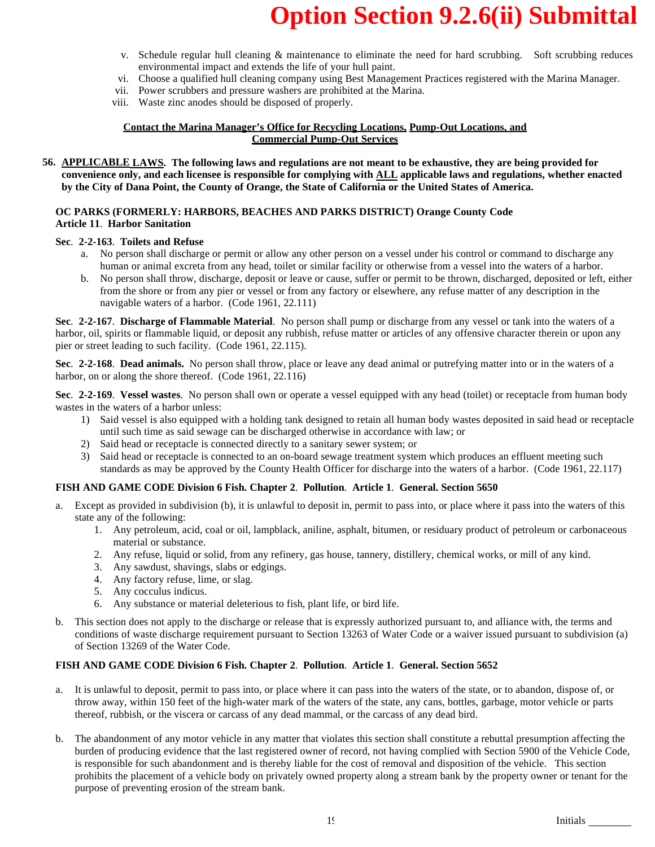- v. Schedule regular hull cleaning & maintenance to eliminate the need for hard scrubbing. Soft scrubbing reduces environmental impact and extends the life of your hull paint.
- vi. Choose a qualified hull cleaning company using Best Management Practices registered with the Marina Manager.
- vii. Power scrubbers and pressure washers are prohibited at the Marina.
- viii. Waste zinc anodes should be disposed of properly.

#### **Contact the Marina Manager's Office for Recycling Locations, Pump-Out Locations, and Commercial Pump-Out Services**

**56. APPLICABLE LAWS. The following laws and regulations are not meant to be exhaustive, they are being provided for convenience only, and each licensee is responsible for complying with ALL applicable laws and regulations, whether enacted by the City of Dana Point, the County of Orange, the State of California or the United States of America.**

#### **OC PARKS (FORMERLY: HARBORS, BEACHES AND PARKS DISTRICT) Orange County Code Article 11**. **Harbor Sanitation**

### **Sec**. **2-2-163**. **Toilets and Refuse**

- a. No person shall discharge or permit or allow any other person on a vessel under his control or command to discharge any human or animal excreta from any head, toilet or similar facility or otherwise from a vessel into the waters of a harbor.
- b. No person shall throw, discharge, deposit or leave or cause, suffer or permit to be thrown, discharged, deposited or left, either from the shore or from any pier or vessel or from any factory or elsewhere, any refuse matter of any description in the navigable waters of a harbor. (Code 1961, 22.111)

**Sec**. **2-2-167**. **Discharge of Flammable Material**. No person shall pump or discharge from any vessel or tank into the waters of a harbor, oil, spirits or flammable liquid, or deposit any rubbish, refuse matter or articles of any offensive character therein or upon any pier or street leading to such facility. (Code 1961, 22.115).

**Sec**. **2-2-168**. **Dead animals.** No person shall throw, place or leave any dead animal or putrefying matter into or in the waters of a harbor, on or along the shore thereof. (Code 1961, 22.116)

**Sec**. **2-2-169**. **Vessel wastes**. No person shall own or operate a vessel equipped with any head (toilet) or receptacle from human body wastes in the waters of a harbor unless:

- 1) Said vessel is also equipped with a holding tank designed to retain all human body wastes deposited in said head or receptacle until such time as said sewage can be discharged otherwise in accordance with law; or
- 2) Said head or receptacle is connected directly to a sanitary sewer system; or
- 3) Said head or receptacle is connected to an on-board sewage treatment system which produces an effluent meeting such standards as may be approved by the County Health Officer for discharge into the waters of a harbor. (Code 1961, 22.117)

### **FISH AND GAME CODE Division 6 Fish. Chapter 2**. **Pollution**. **Article 1**. **General. Section 5650**

- Except as provided in subdivision (b), it is unlawful to deposit in, permit to pass into, or place where it pass into the waters of this state any of the following:
	- 1. Any petroleum, acid, coal or oil, lampblack, aniline, asphalt, bitumen, or residuary product of petroleum or carbonaceous material or substance.
	- 2. Any refuse, liquid or solid, from any refinery, gas house, tannery, distillery, chemical works, or mill of any kind.
	- 3. Any sawdust, shavings, slabs or edgings.
	- 4. Any factory refuse, lime, or slag.
	- 5. Any cocculus indicus.
	- 6. Any substance or material deleterious to fish, plant life, or bird life.
- b. This section does not apply to the discharge or release that is expressly authorized pursuant to, and alliance with, the terms and conditions of waste discharge requirement pursuant to Section 13263 of Water Code or a waiver issued pursuant to subdivision (a) of Section 13269 of the Water Code.

### **FISH AND GAME CODE Division 6 Fish. Chapter 2**. **Pollution**. **Article 1**. **General. Section 5652**

- a. It is unlawful to deposit, permit to pass into, or place where it can pass into the waters of the state, or to abandon, dispose of, or throw away, within 150 feet of the high-water mark of the waters of the state, any cans, bottles, garbage, motor vehicle or parts thereof, rubbish, or the viscera or carcass of any dead mammal, or the carcass of any dead bird.
- b. The abandonment of any motor vehicle in any matter that violates this section shall constitute a rebuttal presumption affecting the burden of producing evidence that the last registered owner of record, not having complied with Section 5900 of the Vehicle Code, is responsible for such abandonment and is thereby liable for the cost of removal and disposition of the vehicle. This section prohibits the placement of a vehicle body on privately owned property along a stream bank by the property owner or tenant for the purpose of preventing erosion of the stream bank.